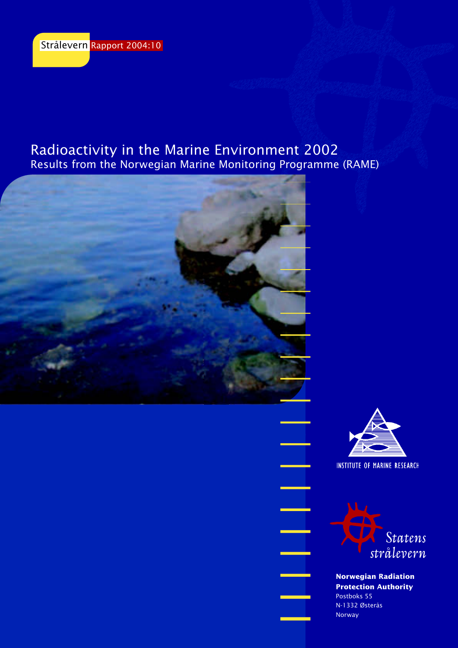# Radioactivity in the Marine Environment 2002 Results from the Norwegian Marine Monitoring Programme (RAME)





**INSTITUTE OF MARINE RESEARCH** 



**Norwegian Radiation Protection Authority** Postboks 55 N-1332 Østerås Norway

 $\overline{\phantom{0}}$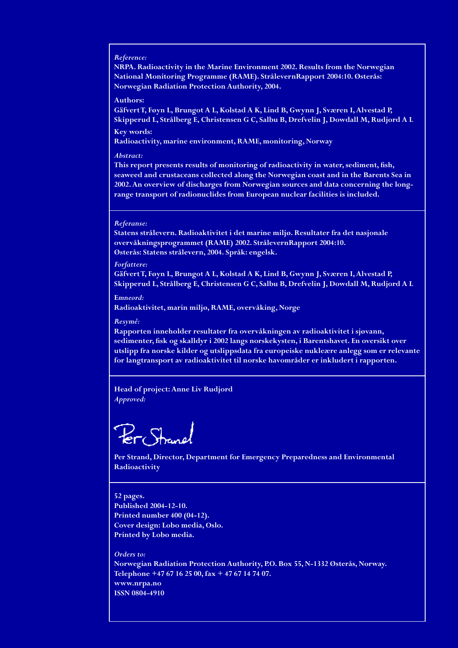#### *Reference:*

**NRPA. Radioactivity in the Marine Environment 2002. Results from the Norwegian National Monitoring Programme (RAME). StrålevernRapport 2004:10. Østerås: Norwegian Radiation Protection Authority, 2004.**

#### **Authors:**

**Gäfvert T, Føyn L, Brungot A L, Kolstad A K, Lind B, Gwynn J, Sværen I, Alvestad P, Skipperud L, Strålberg E, Christensen G C, Salbu B, Drefvelin J, Dowdall M, Rudjord A L Key words:**

**Radioactivity, marine environment, RAME, monitoring, Norway** 

#### *Abstract:*

**This report presents results of monitoring of radioactivity in water, sediment, fish, seaweed and crustaceans collected along the Norwegian coast and in the Barents Sea in 2002. An overview of discharges from Norwegian sources and data concerning the longrange transport of radionuclides from European nuclear facilities is included.**

#### *Referanse:*

**Statens strålevern. Radioaktivitet i det marine miljø. Resultater fra det nasjonale overvåkningsprogrammet (RAME) 2002. StrålevernRapport 2004:10. Østerås: Statens strålevern, 2004. Språk: engelsk.**

#### *Forfattere:*

**Gäfvert T, Føyn L, Brungot A L, Kolstad A K, Lind B, Gwynn J, Sværen I, Alvestad P, Skipperud L, Strålberg E, Christensen G C, Salbu B, Drefvelin J, Dowdall M, Rudjord A L**

**E***mneord:* **Radioaktivitet, marin miljø, RAME, overvåking, Norge**

#### *Resymé:*

**Rapporten inneholder resultater fra overvåkningen av radioaktivitet i sjøvann, sedimenter, fisk og skalldyr i 2002 langs norskekysten, i Barentshavet. En oversikt over utslipp fra norske kilder og utslippsdata fra europeiske nukleære anlegg som er relevante for langtransport av radioaktivitet til norske havområder er inkludert i rapporten.**

**Head of project: Anne Liv Rudjord** *Approved:*

Strane

**Per Strand, Director, Department for Emergency Preparedness and Environmental Radioactivity**

**52 pages. Published 2004-12-10. Printed number 400 (04-12). Cover design: Lobo media, Oslo. Printed by Lobo media.**

*Orders to:* **Norwegian Radiation Protection Authority, P.O. Box 55, N-1332 Østerås, Norway. Telephone +47 67 16 25 00, fax + 47 67 14 74 07. www.nrpa.no ISSN 0804-4910**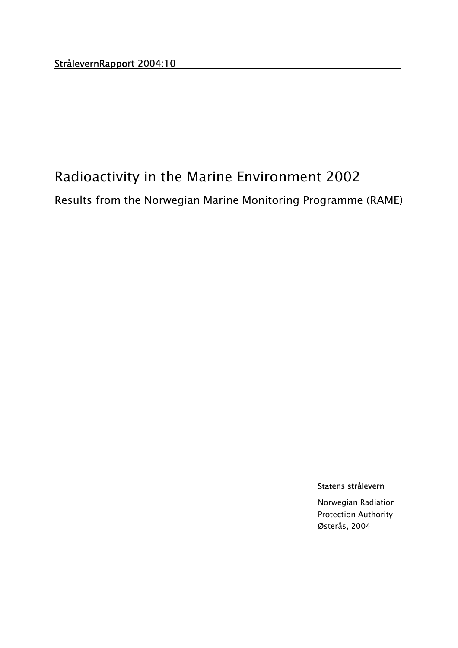# Radioactivity in the Marine Environment 2002

Results from the Norwegian Marine Monitoring Programme (RAME)

Statens strålevern

Norwegian Radiation Protection Authority Østerås, 2004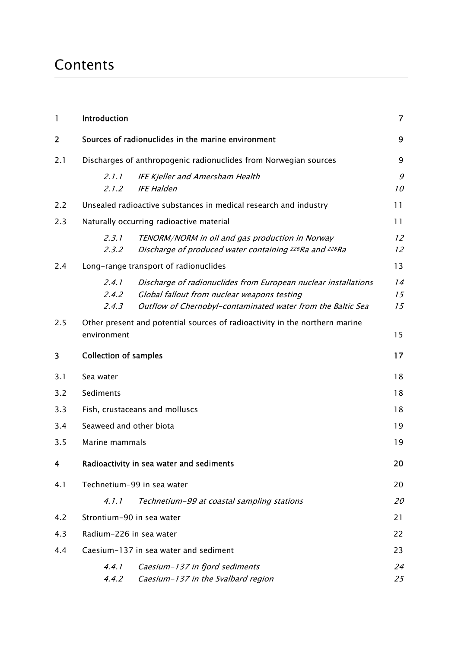# Contents

| 1   | Introduction                   |                                                                                                                                                                              | $\overline{7}$ |
|-----|--------------------------------|------------------------------------------------------------------------------------------------------------------------------------------------------------------------------|----------------|
| 2   |                                | Sources of radionuclides in the marine environment                                                                                                                           | 9              |
| 2.1 |                                | Discharges of anthropogenic radionuclides from Norwegian sources                                                                                                             | 9              |
|     | 2.1.1<br>2.1.2                 | <b>IFE Kjeller and Amersham Health</b><br><b>IFE Halden</b>                                                                                                                  | 9<br>10        |
| 2.2 |                                | Unsealed radioactive substances in medical research and industry                                                                                                             | 11             |
| 2.3 |                                | Naturally occurring radioactive material                                                                                                                                     | 11             |
|     | 2.3.1<br>2.3.2                 | TENORM/NORM in oil and gas production in Norway<br>Discharge of produced water containing <sup>226</sup> Ra and <sup>228</sup> Ra                                            | 12<br>12       |
| 2.4 |                                | Long-range transport of radionuclides                                                                                                                                        | 13             |
|     | 2.4.1<br>2,4.2<br>2.4.3        | Discharge of radionuclides from European nuclear installations<br>Global fallout from nuclear weapons testing<br>Outflow of Chernobyl-contaminated water from the Baltic Sea | 14<br>15<br>15 |
| 2.5 | environment                    | Other present and potential sources of radioactivity in the northern marine                                                                                                  | 15             |
| 3   | <b>Collection of samples</b>   |                                                                                                                                                                              | 17             |
| 3.1 | Sea water                      |                                                                                                                                                                              | 18             |
| 3.2 | Sediments                      |                                                                                                                                                                              | 18             |
| 3.3 | Fish, crustaceans and molluscs |                                                                                                                                                                              | 18             |
| 3.4 | Seaweed and other biota        |                                                                                                                                                                              | 19             |
| 3.5 | Marine mammals                 |                                                                                                                                                                              | 19             |
| 4   |                                | Radioactivity in sea water and sediments                                                                                                                                     | 20             |
| 4.1 | Technetium-99 in sea water     |                                                                                                                                                                              | 20             |
|     | 4.1.1                          | Technetium-99 at coastal sampling stations                                                                                                                                   | 20             |
| 4.2 | Strontium-90 in sea water      |                                                                                                                                                                              | 21             |
| 4.3 | Radium-226 in sea water        |                                                                                                                                                                              |                |
| 4.4 |                                | Caesium-137 in sea water and sediment                                                                                                                                        | 23             |
|     | 4.4.1<br>4.4.2                 | Caesium-137 in fjord sediments<br>Caesium-137 in the Svalbard region                                                                                                         | 24<br>25       |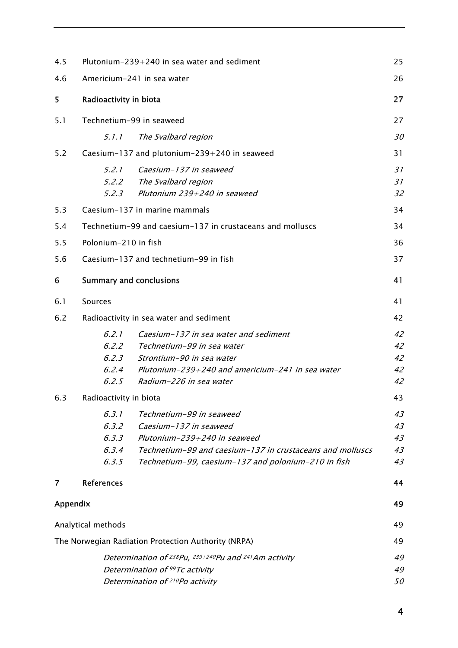| 4.5      | Plutonium-239+240 in sea water and sediment                                                                                                                                                                                                         | 25                         |  |  |
|----------|-----------------------------------------------------------------------------------------------------------------------------------------------------------------------------------------------------------------------------------------------------|----------------------------|--|--|
| 4.6      | Americium-241 in sea water                                                                                                                                                                                                                          | 26                         |  |  |
| 5        | Radioactivity in biota                                                                                                                                                                                                                              |                            |  |  |
| 5.1      | Technetium-99 in seaweed                                                                                                                                                                                                                            | 27                         |  |  |
|          | 5.1.1<br>The Svalbard region                                                                                                                                                                                                                        | 30                         |  |  |
| 5.2      | Caesium-137 and plutonium-239+240 in seaweed                                                                                                                                                                                                        | 31                         |  |  |
|          | 5.2.1<br>Caesium-137 in seaweed<br>5.2.2<br>The Svalbard region<br>Plutonium 239+240 in seaweed<br>5.2.3                                                                                                                                            | 31<br>31<br>32             |  |  |
| 5.3      | Caesium-137 in marine mammals                                                                                                                                                                                                                       | 34                         |  |  |
| 5.4      | Technetium-99 and caesium-137 in crustaceans and molluscs                                                                                                                                                                                           | 34                         |  |  |
| 5.5      | Polonium-210 in fish                                                                                                                                                                                                                                | 36                         |  |  |
| 5.6      | Caesium-137 and technetium-99 in fish                                                                                                                                                                                                               | 37                         |  |  |
| 6        | <b>Summary and conclusions</b>                                                                                                                                                                                                                      | 41                         |  |  |
| 6.1      | Sources                                                                                                                                                                                                                                             | 41                         |  |  |
| 6.2      | Radioactivity in sea water and sediment                                                                                                                                                                                                             | 42                         |  |  |
|          | 6.2.1<br>Caesium-137 in sea water and sediment<br>6.2.2<br>Technetium-99 in sea water<br>6.2.3<br>Strontium-90 in sea water<br>6.2.4<br>Plutonium-239+240 and americium-241 in sea water<br>6.2.5<br>Radium-226 in sea water                        | 42<br>42<br>42<br>42<br>42 |  |  |
| 6.3      | Radioactivity in biota                                                                                                                                                                                                                              | 43                         |  |  |
|          | 6.3.1<br>Technetium-99 in seaweed<br>6.3.2<br>Caesium-137 in seaweed<br>6.3.3<br>Plutonium-239+240 in seaweed<br>6.3.4<br>Technetium-99 and caesium-137 in crustaceans and molluscs<br>6.3.5<br>Technetium-99, caesium-137 and polonium-210 in fish | 43<br>43<br>43<br>43<br>43 |  |  |
| 7        | <b>References</b>                                                                                                                                                                                                                                   | 44                         |  |  |
| Appendix |                                                                                                                                                                                                                                                     | 49                         |  |  |
|          | Analytical methods                                                                                                                                                                                                                                  | 49                         |  |  |
|          | The Norwegian Radiation Protection Authority (NRPA)                                                                                                                                                                                                 | 49                         |  |  |
|          | Determination of <sup>238</sup> Pu, <sup>239+240</sup> Pu and <sup>241</sup> Am activity<br>Determination of 99Tc activity<br>Determination of <sup>210</sup> Po activity                                                                           | 49<br>49<br>50             |  |  |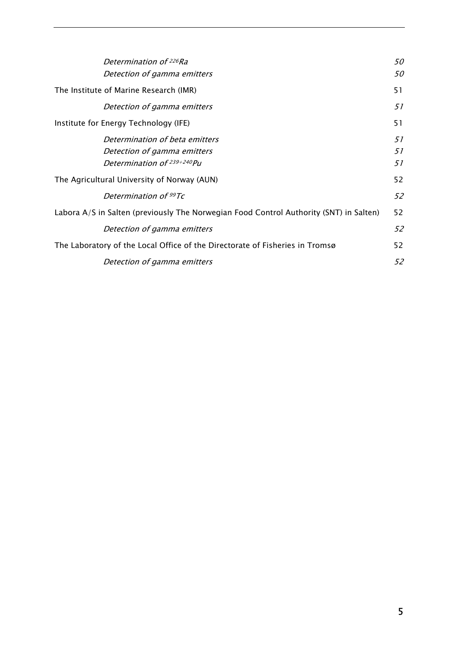| Determination of <sup>226</sup> Ra<br>Detection of gamma emitters                           | 50<br>50       |
|---------------------------------------------------------------------------------------------|----------------|
| The Institute of Marine Research (IMR)                                                      | 51             |
| Detection of gamma emitters                                                                 | 51             |
| Institute for Energy Technology (IFE)                                                       | 51             |
| Determination of beta emitters<br>Detection of gamma emitters<br>Determination of 239+240Pu | 51<br>51<br>51 |
| The Agricultural University of Norway (AUN)                                                 | 52             |
| Determination of 99Tc                                                                       | 52             |
| Labora A/S in Salten (previously The Norwegian Food Control Authority (SNT) in Salten)      | 52             |
| Detection of gamma emitters                                                                 | 52             |
| The Laboratory of the Local Office of the Directorate of Fisheries in Tromsø                | 52             |
| Detection of gamma emitters                                                                 | 52             |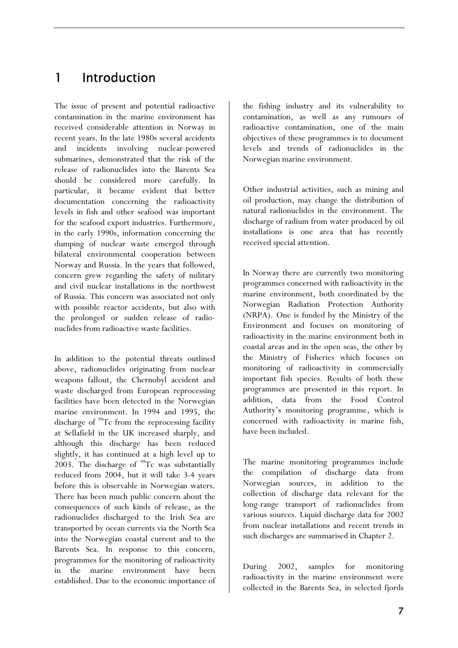# 1 Introduction

The issue of present and potential radioactive contamination in the marine environment has received considerable attention in Norway in recent years. In the late 1980s several accidents and incidents involving nuclear-powered submarines, demonstrated that the risk of the release of radionuclides into the Barents Sea should be considered more carefully. In particular, it became evident that better documentation concerning the radioactivity levels in fish and other seafood was important for the seafood export industries. Furthermore, in the early 1990s, information concerning the dumping of nuclear waste emerged through bilateral environmental cooperation between Norway and Russia. In the years that followed, concern grew regarding the safety of military and civil nuclear installations in the northwest of Russia. This concern was associated not only with possible reactor accidents, but also with the prolonged or sudden release of radionuclides from radioactive waste facilities.

In addition to the potential threats outlined above, radionuclides originating from nuclear weapons fallout, the Chernobyl accident and waste discharged from European reprocessing facilities have been detected in the Norwegian marine environment. In 1994 and 1995, the discharge of  $99$ Tc from the reprocessing facility at Sellafield in the UK increased sharply, and although this discharge has been reduced slightly, it has continued at a high level up to 2003. The discharge of  $^{99}$ Tc was substantially reduced from 2004, but it will take 3-4 years before this is observable in Norwegian waters. There has been much public concern about the consequences of such kinds of release, as the radionuclides discharged to the Irish Sea are transported by ocean currents via the North Sea into the Norwegian coastal current and to the Barents Sea. In response to this concern, programmes for the monitoring of radioactivity in the marine environment have been established. Due to the economic importance of the fishing industry and its vulnerability to contamination, as well as any rumours of radioactive contamination, one of the main objectives of these programmes is to document levels and trends of radionuclides in the Norwegian marine environment.

Other industrial activities, such as mining and oil production, may change the distribution of natural radionuclides in the environment. The discharge of radium from water produced by oil installations is one area that has recently received special attention.

In Norway there are currently two monitoring programmes concerned with radioactivity in the marine environment, both coordinated by the Norwegian Radiation Protection Authority (NRPA). One is funded by the Ministry of the Environment and focuses on monitoring of radioactivity in the marine environment both in coastal areas and in the open seas, the other by the Ministry of Fisheries which focuses on monitoring of radioactivity in commercially important fish species. Results of both these programmes are presented in this report. In addition, data from the Food Control Authority's monitoring programme, which is concerned with radioactivity in marine fish, have been included.

The marine monitoring programmes include the compilation of discharge data from Norwegian sources, in addition to the collection of discharge data relevant for the long-range transport of radionuclides from various sources. Liquid discharge data for 2002 from nuclear installations and recent trends in such discharges are summarised in Chapter 2.

During 2002, samples for monitoring radioactivity in the marine environment were collected in the Barents Sea, in selected fjords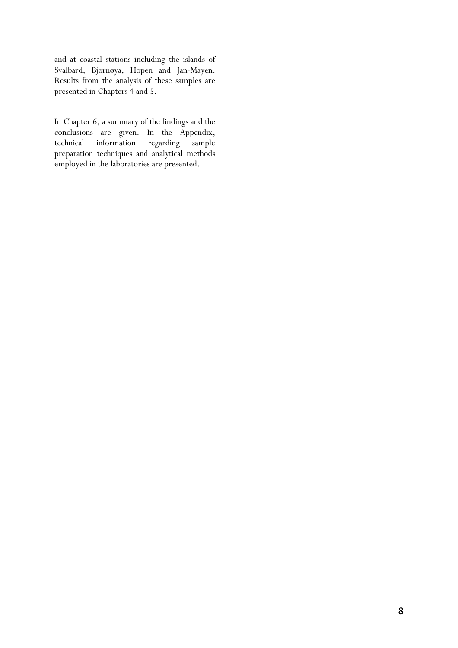and at coastal stations including the islands of Svalbard, Bjørnøya, Hopen and Jan-Mayen. Results from the analysis of these samples are presented in Chapters 4 and 5.

In Chapter 6, a summary of the findings and the conclusions are given. In the Appendix, technical information regarding sample preparation techniques and analytical methods employed in the laboratories are presented.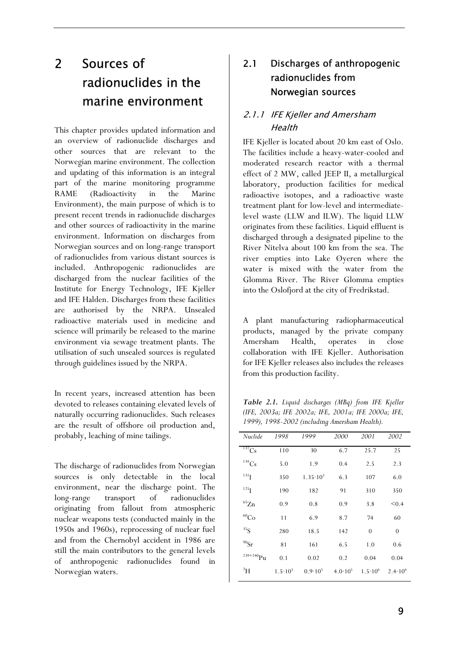# 2 Sources of radionuclides in the marine environment

This chapter provides updated information and an overview of radionuclide discharges and other sources that are relevant to the Norwegian marine environment. The collection and updating of this information is an integral part of the marine monitoring programme RAME (Radioactivity in the Marine Environment), the main purpose of which is to present recent trends in radionuclide discharges and other sources of radioactivity in the marine environment. Information on discharges from Norwegian sources and on long-range transport of radionuclides from various distant sources is included. Anthropogenic radionuclides are discharged from the nuclear facilities of the Institute for Energy Technology, IFE Kjeller and IFE Halden. Discharges from these facilities are authorised by the NRPA. Unsealed radioactive materials used in medicine and science will primarily be released to the marine environment via sewage treatment plants. The utilisation of such unsealed sources is regulated through guidelines issued by the NRPA.

In recent years, increased attention has been devoted to releases containing elevated levels of naturally occurring radionuclides. Such releases are the result of offshore oil production and, probably, leaching of mine tailings.

The discharge of radionuclides from Norwegian sources is only detectable in the local environment, near the discharge point. The long-range transport of radionuclides originating from fallout from atmospheric nuclear weapons tests (conducted mainly in the 1950s and 1960s), reprocessing of nuclear fuel and from the Chernobyl accident in 1986 are still the main contributors to the general levels of anthropogenic radionuclides found in Norwegian waters.

# 2.1 Discharges of anthropogenic radionuclides from Norwegian sources

### 2.1.1 IFE Kjeller and Amersham **Health**

IFE Kjeller is located about 20 km east of Oslo. The facilities include a heavy-water-cooled and moderated research reactor with a thermal effect of 2 MW, called JEEP II, a metallurgical laboratory, production facilities for medical radioactive isotopes, and a radioactive waste treatment plant for low-level and intermediatelevel waste (LLW and ILW). The liquid LLW originates from these facilities. Liquid effluent is discharged through a designated pipeline to the River Nitelva about 100 km from the sea. The river empties into Lake Øyeren where the water is mixed with the water from the Glomma River. The River Glomma empties into the Oslofjord at the city of Fredrikstad.

A plant manufacturing radiopharmaceutical products, managed by the private company Amersham Health, operates in close collaboration with IFE Kjeller. Authorisation for IFE Kjeller releases also includes the releases from this production facility.

*Table 2.1. Liquid discharges (MBq) from IFE Kjeller (IFE, 2003a; IFE 2002a; IFE, 2001a; IFE 2000a; IFE, 1999), 1998-2002 (including Amersham Health).* 

| Nuclide               | 1998               | 1999                | 2000             | 2001               | 2002               |
|-----------------------|--------------------|---------------------|------------------|--------------------|--------------------|
| $137$ Cs              | 110                | 30                  | 6.7              | 25.7               | 25                 |
| ${}^{134}\mathrm{Cs}$ | 5.0                | 1.9                 | 0.4              | 2.5                | 2.3                |
| 131 <sub>I</sub>      | 350                | $1.35 \cdot 10^{3}$ | 6.3              | 107                | 6.0                |
| 125 <sub>I</sub>      | 190                | 182                 | 91               | 310                | 350                |
| $\mathrm{^{65}Zn}$    | 0.9                | 0.8                 | 0.9              | 3.8                | < 0.4              |
| ${}^{60}\mathrm{Co}$  | 11                 | 6.9                 | 8.7              | 74                 | 60                 |
| 35 <sub>S</sub>       | 280                | 18.5                | 142              | $\theta$           | $\boldsymbol{0}$   |
| $^{90}\mathrm{Sr}$    | 81                 | 161                 | 6.5              | 1.0                | 0.6                |
| $239 + 240$ Pu        | 0.1                | 0.02                | 0.2              | 0.04               | 0.04               |
| $\rm{^3H}$            | $1.5 \cdot 10^{5}$ | $0.9 \cdot 10^5$    | $4.0 \cdot 10^5$ | $1.5 \cdot 10^{6}$ | $2.4 \cdot 10^{6}$ |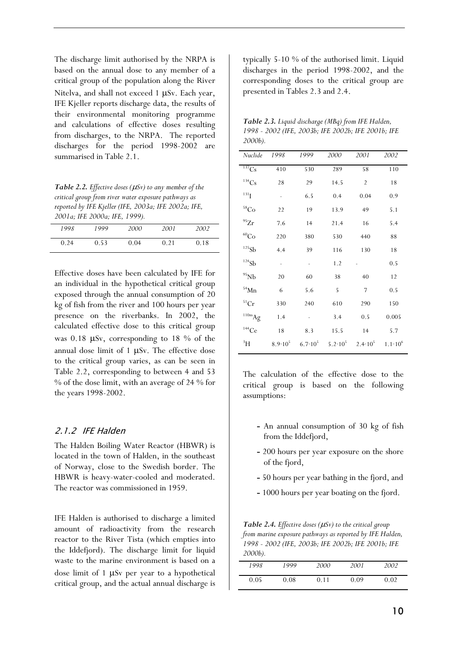The discharge limit authorised by the NRPA is based on the annual dose to any member of a critical group of the population along the River Nitelva, and shall not exceed  $1 \mu Sv$ . Each year, IFE Kjeller reports discharge data, the results of their environmental monitoring programme and calculations of effective doses resulting from discharges, to the NRPA. The reported discharges for the period 1998-2002 are summarised in Table 2.1.

*Table 2.2. Effective doses (* $\mu$ *Sv) to any member of the critical group from river water exposure pathways as reported by IFE Kjeller (IFE, 2003a; IFE 2002a; IFE, 2001a; IFE 2000a; IFE, 1999).* 

| 1998 | 1999 | 2000 | 2001 | <i>2002</i> |
|------|------|------|------|-------------|
| 0.24 | 0.53 | 0.04 | 0.21 | 0.18        |

Effective doses have been calculated by IFE for an individual in the hypothetical critical group exposed through the annual consumption of 20 kg of fish from the river and 100 hours per year presence on the riverbanks. In 2002, the calculated effective dose to this critical group was  $0.18$  µSv, corresponding to 18 % of the annual dose limit of 1  $\mu Sv$ . The effective dose to the critical group varies, as can be seen in Table 2.2, corresponding to between 4 and 53 % of the dose limit, with an average of 24 % for the years 1998-2002.

#### 2.1.2 IFE Halden

The Halden Boiling Water Reactor (HBWR) is located in the town of Halden, in the southeast of Norway, close to the Swedish border. The HBWR is heavy-water-cooled and moderated. The reactor was commissioned in 1959.

IFE Halden is authorised to discharge a limited amount of radioactivity from the research reactor to the River Tista (which empties into the Iddefjord). The discharge limit for liquid waste to the marine environment is based on a dose limit of 1  $\mu Sv$  per year to a hypothetical critical group, and the actual annual discharge is typically 5-10 % of the authorised limit. Liquid discharges in the period 1998-2002, and the corresponding doses to the critical group are presented in Tables 2.3 and 2.4.

| Table 2.3. Liquid discharge (MBq) from IFE Halden, |
|----------------------------------------------------|
| 1998 - 2002 (IFE, 2003b; IFE 2002b; IFE 2001b; IFE |
| 2000b).                                            |

| Nuclide              | 1998                     | 1999                         | 2000 | 2001                                                                | 2002               |
|----------------------|--------------------------|------------------------------|------|---------------------------------------------------------------------|--------------------|
| 137Cs                | 410                      | 530                          | 289  | 58                                                                  | 110                |
| 134Cs                | 28                       | 29                           | 14.5 | $\overline{2}$                                                      | 18                 |
| $^{131}$ I           | $\overline{\phantom{0}}$ | 6.5                          | 0.4  | 0.04                                                                | 0.9                |
| $\mathrm{^{58}Co}$   | 22                       | 19                           | 13.9 | 49                                                                  | 5.1                |
| $^{95}\mathrm{Zr}$   | 7.6                      | 14                           | 21.4 | 16                                                                  | 5.4                |
| ${}^{60}\mathrm{Co}$ | 220                      | 380                          | 530  | 440                                                                 | 88                 |
| 125Sb                | 4.4                      | 39                           | 116  | 130                                                                 | 18                 |
| $^{124}\mathrm{Sb}$  | $\overline{\phantom{m}}$ | $\qquad \qquad \blacksquare$ | 1.2  |                                                                     | 0.5                |
| $95$ Nb              | 20                       | 60                           | 38   | 40                                                                  | 12                 |
| $54$ Mn              | 6                        | 5.6                          | 5    | 7                                                                   | 0.5                |
| ${}^{51}Cr$          | 330                      | 240                          | 610  | 290                                                                 | 150                |
| $110m$ Ag            | 1.4                      |                              | 3.4  | 0.5                                                                 | 0.005              |
| $144$ Ce             | 18                       | 8.3                          | 15.5 | -14                                                                 | 5.7                |
| $\rm ^3H$            |                          |                              |      | $8.9 \cdot 10^5$ $6.7 \cdot 10^5$ $5.2 \cdot 10^5$ $2.4 \cdot 10^5$ | $1.1 \cdot 10^{6}$ |

The calculation of the effective dose to the critical group is based on the following assumptions:

- **-** An annual consumption of 30 kg of fish from the Iddefjord,
- **-** 200 hours per year exposure on the shore of the fjord,
- **-** 50 hours per year bathing in the fjord, and
- **-** 1000 hours per year boating on the fjord.

*Table 2.4. Effective doses (* $\mu$ *Sv) to the critical group from marine exposure pathways as reported by IFE Halden, 1998 - 2002 (IFE, 2003b; IFE 2002b; IFE 2001b; IFE 2000b).* 

| 1998 | 1999 | 2000 | 2001 | 2002 |
|------|------|------|------|------|
| 0.05 | 0.08 | 0.11 | 0.09 | 0.02 |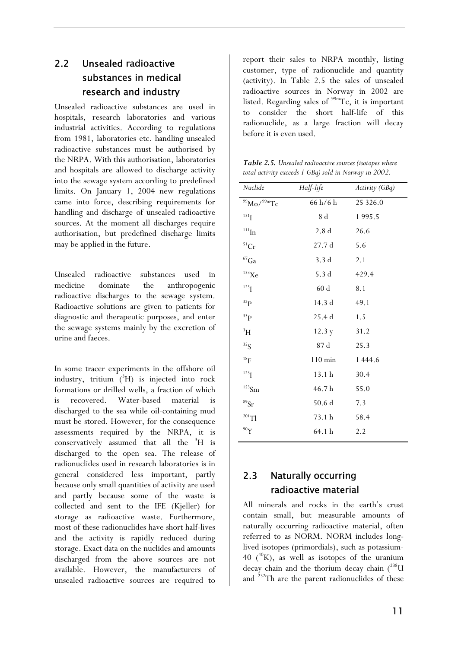# 2.2 Unsealed radioactive substances in medical research and industry

Unsealed radioactive substances are used in hospitals, research laboratories and various industrial activities. According to regulations from 1981, laboratories etc. handling unsealed radioactive substances must be authorised by the NRPA. With this authorisation, laboratories and hospitals are allowed to discharge activity into the sewage system according to predefined limits. On January 1, 2004 new regulations came into force, describing requirements for handling and discharge of unsealed radioactive sources. At the moment all discharges require authorisation, but predefined discharge limits may be applied in the future.

Unsealed radioactive substances used in medicine dominate the anthropogenic radioactive discharges to the sewage system. Radioactive solutions are given to patients for diagnostic and therapeutic purposes, and enter the sewage systems mainly by the excretion of urine and faeces.

In some tracer experiments in the offshore oil industry, tritium  $(^{3}H)$  is injected into rock formations or drilled wells, a fraction of which is recovered. Water-based material is discharged to the sea while oil-containing mud must be stored. However, for the consequence assessments required by the NRPA, it is conservatively assumed that all the <sup>3</sup>H is discharged to the open sea. The release of radionuclides used in research laboratories is in general considered less important, partly because only small quantities of activity are used and partly because some of the waste is collected and sent to the IFE (Kjeller) for storage as radioactive waste. Furthermore, most of these radionuclides have short half-lives and the activity is rapidly reduced during storage. Exact data on the nuclides and amounts discharged from the above sources are not available. However, the manufacturers of unsealed radioactive sources are required to

report their sales to NRPA monthly, listing customer, type of radionuclide and quantity (activity). In Table 2.5 the sales of unsealed radioactive sources in Norway in 2002 are listed. Regarding sales of <sup>99m</sup>Tc, it is important to consider the short half-life of this radionuclide, as a large fraction will decay before it is even used.

*Table 2.5. Unsealed radioactive sources (isotopes where total activity exceeds 1 GBq) sold in Norway in 2002.* 

| Nuclide                 | Half-life          | Activity (GBq) |
|-------------------------|--------------------|----------------|
| $\rm{^{99}Mo/^{99m}Tc}$ | 66 h/6 h           | 25 326.0       |
| $131$ <sub>I</sub>      | 8d                 | 1995.5         |
| $\rm ^{111}In$          | 2.8 <sub>d</sub>   | 26.6           |
| $\rm ^{51}Cr$           | 27.7d              | 5.6            |
| $\rm ^{67}Ga$           | 3.3d               | 2.1            |
| $133$ Xe                | 5.3d               | 429.4          |
| $^{125}$ I              | 60d                | 8.1            |
| 32P                     | 14.3 d             | 49.1           |
| 33 <sub>P</sub>         | 25.4d              | 1.5            |
| $\rm{^3H}$              | 12.3 y             | 31.2           |
| 35 <sub>S</sub>         | $87\;\rm{d}$       | 25.3           |
| 18 <sub>F</sub>         | $110 \text{ min}$  | 1 444.6        |
| $123$ <sub>I</sub>      | 13.1h              | 30.4           |
| $^{153}\mathrm{Sm}$     | 46.7h              | 55.0           |
| ${}^{89}Sr$             | $50.6\,\mathrm{d}$ | 7.3            |
| $^{201}$ Tl             | 73.1 h             | 58.4           |
| 90Y                     | 64.1h              | 2.2            |
|                         |                    |                |

# 2.3 Naturally occurring radioactive material

All minerals and rocks in the earth's crust contain small, but measurable amounts of naturally occurring radioactive material, often referred to as NORM. NORM includes longlived isotopes (primordials), such as potassium-40 ( $^{40}$ K), as well as isotopes of the uranium decay chain and the thorium decay chain  $(^{238}$ U and 232Th are the parent radionuclides of these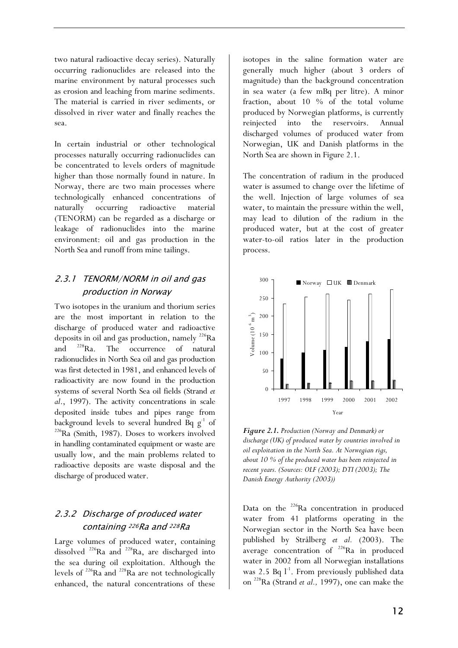two natural radioactive decay series). Naturally occurring radionuclides are released into the marine environment by natural processes such as erosion and leaching from marine sediments. The material is carried in river sediments, or dissolved in river water and finally reaches the sea.

In certain industrial or other technological processes naturally occurring radionuclides can be concentrated to levels orders of magnitude higher than those normally found in nature. In Norway, there are two main processes where technologically enhanced concentrations of naturally occurring radioactive material (TENORM) can be regarded as a discharge or leakage of radionuclides into the marine environment: oil and gas production in the North Sea and runoff from mine tailings.

## 2.3.1 TENORM/NORM in oil and gas production in Norway

Two isotopes in the uranium and thorium series are the most important in relation to the discharge of produced water and radioactive deposits in oil and gas production, namely  $^{226}$ Ra<br>and  $^{228}$ Ra. The occurrence of natural and <sup>228</sup>Ra. The occurrence of natural radionuclides in North Sea oil and gas production was first detected in 1981, and enhanced levels of radioactivity are now found in the production systems of several North Sea oil fields (Strand *et al*., 1997). The activity concentrations in scale deposited inside tubes and pipes range from background levels to several hundred Bq  $g^{-1}$  of <sup>226</sup>Ra (Smith, 1987). Doses to workers involved in handling contaminated equipment or waste are usually low, and the main problems related to radioactive deposits are waste disposal and the discharge of produced water.

# 2.3.2 Discharge of produced water containing 226Ra and 228Ra

Large volumes of produced water, containing dissolved <sup>226</sup>Ra and <sup>228</sup>Ra, are discharged into the sea during oil exploitation. Although the levels of  $^{226}$ Ra and  $^{228}$ Ra are not technologically enhanced, the natural concentrations of these

isotopes in the saline formation water are generally much higher (about 3 orders of magnitude) than the background concentration in sea water (a few mBq per litre). A minor fraction, about 10 % of the total volume produced by Norwegian platforms, is currently reinjected into the reservoirs. Annual discharged volumes of produced water from Norwegian, UK and Danish platforms in the North Sea are shown in Figure 2.1.

The concentration of radium in the produced water is assumed to change over the lifetime of the well. Injection of large volumes of sea water, to maintain the pressure within the well, may lead to dilution of the radium in the produced water, but at the cost of greater water-to-oil ratios later in the production process.



*Figure 2.1. Production (Norway and Denmark) or discharge (UK) of produced water by countries involved in oil exploitation in the North Sea. At Norwegian rigs, about 10 % of the produced water has been reinjected in recent years. (Sources: OLF (2003); DTI (2003); The Danish Energy Authority (2003))* 

Data on the  $226$ Ra concentration in produced water from 41 platforms operating in the Norwegian sector in the North Sea have been published by Strålberg *et al.* (2003). The average concentration of <sup>226</sup>Ra in produced water in 2002 from all Norwegian installations was 2.5 Bq  $l^{-1}$ . From previously published data on 228Ra (Strand *et al.,* 1997), one can make the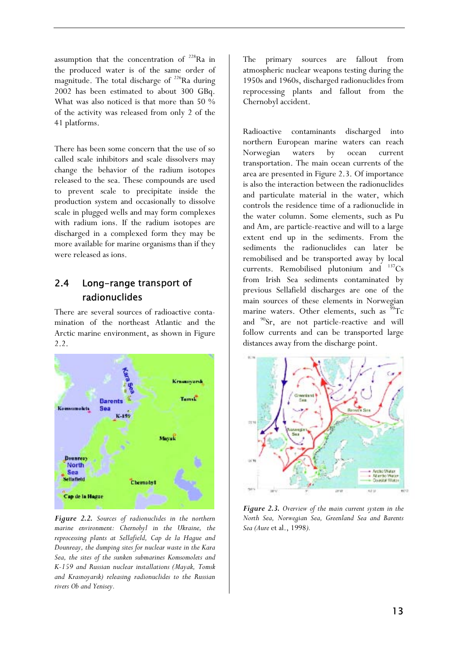assumption that the concentration of  $228$ Ra in the produced water is of the same order of magnitude. The total discharge of  $^{226}$ Ra during 2002 has been estimated to about 300 GBq. What was also noticed is that more than 50 % of the activity was released from only 2 of the 41 platforms.

There has been some concern that the use of so called scale inhibitors and scale dissolvers may change the behavior of the radium isotopes released to the sea. These compounds are used to prevent scale to precipitate inside the production system and occasionally to dissolve scale in plugged wells and may form complexes with radium ions. If the radium isotopes are discharged in a complexed form they may be more available for marine organisms than if they were released as ions.

# 2.4 Long-range transport of radionuclides

There are several sources of radioactive contamination of the northeast Atlantic and the Arctic marine environment, as shown in Figure 2.2.



*Figure 2.2. Sources of radionuclides in the northern marine environment: Chernobyl in the Ukraine, the reprocessing plants at Sellafield, Cap de la Hague and Dounreay, the dumping sites for nuclear waste in the Kara Sea, the sites of the sunken submarines Komsomolets and K-159 and Russian nuclear installations (Mayak, Tomsk and Krasnoyarsk) releasing radionuclides to the Russian rivers Ob and Yenisey.* 

The primary sources are fallout from atmospheric nuclear weapons testing during the 1950s and 1960s, discharged radionuclides from reprocessing plants and fallout from the Chernobyl accident.

Radioactive contaminants discharged into northern European marine waters can reach Norwegian waters by ocean current transportation. The main ocean currents of the area are presented in Figure 2.3. Of importance is also the interaction between the radionuclides and particulate material in the water, which controls the residence time of a radionuclide in the water column. Some elements, such as Pu and Am, are particle-reactive and will to a large extent end up in the sediments. From the sediments the radionuclides can later be remobilised and be transported away by local currents. Remobilised plutonium and  $137Cs$ from Irish Sea sediments contaminated by previous Sellafield discharges are one of the main sources of these elements in Norwegian marine waters. Other elements, such as  $^{99}$ Tc and  $^{90}$ Sr, are not particle-reactive and will follow currents and can be transported large distances away from the discharge point.



*Figure 2.3. Overview of the main current system in the North Sea, Norwegian Sea, Greenland Sea and Barents Sea (Aure* et al., 1998*).*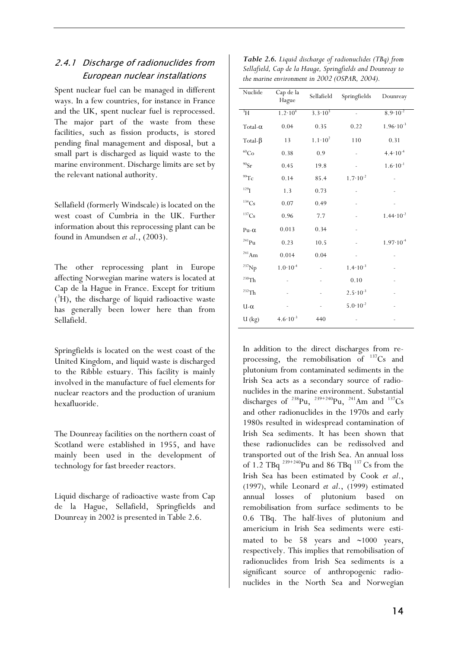### 2.4.1 Discharge of radionuclides from European nuclear installations

Spent nuclear fuel can be managed in different ways. In a few countries, for instance in France and the UK, spent nuclear fuel is reprocessed. The major part of the waste from these facilities, such as fission products, is stored pending final management and disposal, but a small part is discharged as liquid waste to the marine environment. Discharge limits are set by the relevant national authority.

Sellafield (formerly Windscale) is located on the west coast of Cumbria in the UK. Further information about this reprocessing plant can be found in Amundsen *et al*., (2003).

The other reprocessing plant in Europe affecting Norwegian marine waters is located at Cap de la Hague in France. Except for tritium  $(^{3}H)$ , the discharge of liquid radioactive waste has generally been lower here than from Sellafield.

Springfields is located on the west coast of the United Kingdom, and liquid waste is discharged to the Ribble estuary. This facility is mainly involved in the manufacture of fuel elements for nuclear reactors and the production of uranium hexafluoride.

The Dounreay facilities on the northern coast of Scotland were established in 1955, and have mainly been used in the development of technology for fast breeder reactors.

Liquid discharge of radioactive waste from Cap de la Hague, Sellafield, Springfields and Dounreay in 2002 is presented in Table 2.6.

| Table 2.6. Liquid discharge of radionuclides (TBq) from   |
|-----------------------------------------------------------|
| Sellafield, Cap de la Hauge, Springfields and Dounreay to |
| the marine environment in 2002 (OSPAR, 2004).             |

| Nuclide               | Cap de la<br>Hague   | Sellafield         | Springfields        | Dounreay             |
|-----------------------|----------------------|--------------------|---------------------|----------------------|
| $\rm{^3H}$            | $1.2 \cdot 10^{4}$   | $3.3 \cdot 10^{3}$ |                     | $8.9 \cdot 10^{-2}$  |
| Total- $\alpha$       | 0.04                 | 0.35               | 0.22                | $1.96 \cdot 10^{-3}$ |
| Total- $\beta$        | 13                   | $1.1 \cdot 10^{2}$ | 110                 | 0.31                 |
| $^{60}\mathrm{Co}$    | 0.38                 | 0.9                |                     | $4.4 \cdot 10^{-4}$  |
| $^{90}\mathrm{Sr}$    | 0.45                 | 19.8               |                     | $1.6 \cdot 10^{-1}$  |
| $^{99}$ Tc            | 0.14                 | 85.4               | $1.7 \cdot 10^{-2}$ |                      |
| $129$ <sup>I</sup>    | 1.3                  | 0.73               |                     |                      |
| $134$ Cs              | 0.07                 | 0.49               |                     |                      |
| ${}^{137}\mathrm{Cs}$ | 0.96                 | 7.7                |                     | $1.44 \cdot 10^{-2}$ |
| $Pu-\alpha$           | 0.013                | 0.34               |                     |                      |
| $\mathrm{^{241}Pu}$   | 0.23                 | 10.5               |                     | $1.97 \cdot 10^{-4}$ |
| $^{241}Am$            | 0.014                | 0.04               |                     |                      |
| $^{237}$ Np           | $1.0\!\cdot\!10^{4}$ |                    | $1.4 \cdot 10^{-3}$ |                      |
| $^{230}\mathrm{Th}$   |                      |                    | 0.10                |                      |
| $\mathrm{^{232}Th}$   |                      |                    | $2.5 \cdot 10^{-3}$ |                      |
| $U-\alpha$            |                      |                    | $5.0 \cdot 10^{-2}$ |                      |
| $U$ (kg)              | $4.6 \cdot 10^{-3}$  | 440                |                     |                      |

In addition to the direct discharges from reprocessing, the remobilisation of  $137Cs$  and plutonium from contaminated sediments in the Irish Sea acts as a secondary source of radionuclides in the marine environment. Substantial discharges of  $^{238}Pu$ ,  $^{239+240}Pu$ ,  $^{241}Am$  and  $^{137}Cs$ and other radionuclides in the 1970s and early 1980s resulted in widespread contamination of Irish Sea sediments. It has been shown that these radionuclides can be redissolved and transported out of the Irish Sea. An annual loss of 1.2 TBq  $^{239+240}$ Pu and 86 TBq  $^{137}$  Cs from the Irish Sea has been estimated by Cook *et al*., (1997), while Leonard *et al*., (1999) estimated annual losses of plutonium based on remobilisation from surface sediments to be 0.6 TBq. The half-lives of plutonium and americium in Irish Sea sediments were estimated to be 58 years and  $\sim$ 1000 years, respectively. This implies that remobilisation of radionuclides from Irish Sea sediments is a significant source of anthropogenic radionuclides in the North Sea and Norwegian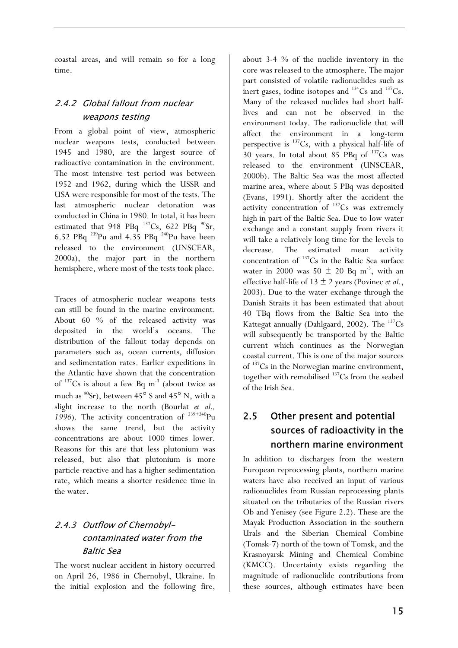coastal areas, and will remain so for a long time.

# 2.4.2 Global fallout from nuclear weapons testing

From a global point of view, atmospheric nuclear weapons tests, conducted between 1945 and 1980, are the largest source of radioactive contamination in the environment. The most intensive test period was between 1952 and 1962, during which the USSR and USA were responsible for most of the tests. The last atmospheric nuclear detonation was conducted in China in 1980. In total, it has been estimated that 948 PBq  $^{137}Cs$ , 622 PBq  $^{90}Sr$ , 6.52 PBq 239Pu and 4.35 PBq 240Pu have been released to the environment (UNSCEAR, 2000a), the major part in the northern hemisphere, where most of the tests took place.

Traces of atmospheric nuclear weapons tests can still be found in the marine environment. About 60 % of the released activity was deposited in the world's oceans. The distribution of the fallout today depends on parameters such as, ocean currents, diffusion and sedimentation rates. Earlier expeditions in the Atlantic have shown that the concentration of  $137$ Cs is about a few Bq m<sup>-3</sup> (about twice as much as  $^{90}Sr$ ), between 45<sup>o</sup> S and 45<sup>o</sup> N, with a slight increase to the north (Bourlat *et al.,*  1996). The activity concentration of <sup>239+240</sup>Pu shows the same trend, but the activity concentrations are about 1000 times lower. Reasons for this are that less plutonium was released, but also that plutonium is more particle-reactive and has a higher sedimentation rate, which means a shorter residence time in the water.

# 2.4.3 Outflow of Chernobylcontaminated water from the Baltic Sea

The worst nuclear accident in history occurred on April 26, 1986 in Chernobyl, Ukraine. In the initial explosion and the following fire, about 3-4 % of the nuclide inventory in the core was released to the atmosphere. The major part consisted of volatile radionuclides such as inert gases, iodine isotopes and  $^{134}Cs$  and  $^{137}Cs$ . Many of the released nuclides had short halflives and can not be observed in the environment today. The radionuclide that will affect the environment in a long-term perspective is  $^{137}Cs$ , with a physical half-life of 30 years. In total about 85 PBq of  $^{137}Cs$  was released to the environment (UNSCEAR, 2000b). The Baltic Sea was the most affected marine area, where about 5 PBq was deposited (Evans, 1991). Shortly after the accident the activity concentration of  $137Cs$  was extremely high in part of the Baltic Sea. Due to low water exchange and a constant supply from rivers it will take a relatively long time for the levels to decrease. The estimated mean activity concentration of 137Cs in the Baltic Sea surface water in 2000 was  $50 \pm 20$  Bq m<sup>-3</sup>, with an effective half-life of  $13 \pm 2$  years (Povinec *et al.*, 2003). Due to the water exchange through the Danish Straits it has been estimated that about 40 TBq flows from the Baltic Sea into the Kattegat annually (Dahlgaard, 2002). The  $^{137}Cs$ will subsequently be transported by the Baltic current which continues as the Norwegian coastal current. This is one of the major sources of 137Cs in the Norwegian marine environment, together with remobilised  $137$ Cs from the seabed of the Irish Sea.

# 2.5 Other present and potential sources of radioactivity in the northern marine environment

In addition to discharges from the western European reprocessing plants, northern marine waters have also received an input of various radionuclides from Russian reprocessing plants situated on the tributaries of the Russian rivers Ob and Yenisey (see Figure 2.2). These are the Mayak Production Association in the southern Urals and the Siberian Chemical Combine (Tomsk-7) north of the town of Tomsk, and the Krasnoyarsk Mining and Chemical Combine (KMCC). Uncertainty exists regarding the magnitude of radionuclide contributions from these sources, although estimates have been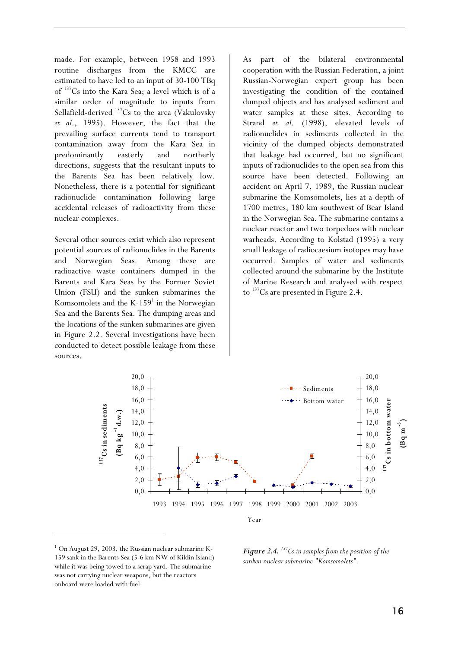made. For example, between 1958 and 1993 routine discharges from the KMCC are estimated to have led to an input of 30-100 TBq of 137Cs into the Kara Sea; a level which is of a similar order of magnitude to inputs from Sellafield-derived  $137Cs$  to the area (Vakulovsky *et al*., 1995). However, the fact that the prevailing surface currents tend to transport contamination away from the Kara Sea in predominantly easterly and northerly directions, suggests that the resultant inputs to the Barents Sea has been relatively low. Nonetheless, there is a potential for significant radionuclide contamination following large accidental releases of radioactivity from these nuclear complexes.

Several other sources exist which also represent potential sources of radionuclides in the Barents and Norwegian Seas. Among these are radioactive waste containers dumped in the Barents and Kara Seas by the Former Soviet Union (FSU) and the sunken submarines the Komsomolets and the  $K-159<sup>1</sup>$  in the Norwegian Sea and the Barents Sea. The dumping areas and the locations of the sunken submarines are given in Figure 2.2. Several investigations have been conducted to detect possible leakage from these sources.

As part of the bilateral environmental cooperation with the Russian Federation, a joint Russian-Norwegian expert group has been investigating the condition of the contained dumped objects and has analysed sediment and water samples at these sites. According to Strand *et al*. (1998), elevated levels of radionuclides in sediments collected in the vicinity of the dumped objects demonstrated that leakage had occurred, but no significant inputs of radionuclides to the open sea from this source have been detected. Following an accident on April 7, 1989, the Russian nuclear submarine the Komsomolets, lies at a depth of 1700 metres, 180 km southwest of Bear Island in the Norwegian Sea. The submarine contains a nuclear reactor and two torpedoes with nuclear warheads. According to Kolstad (1995) a very small leakage of radiocaesium isotopes may have occurred. Samples of water and sediments collected around the submarine by the Institute of Marine Research and analysed with respect to  $137$ Cs are presented in Figure 2.4.



<sup>&</sup>lt;sup>1</sup> On August 29, 2003, the Russian nuclear submarine K-159 sank in the Barents Sea (5-6 km NW of Kildin Island) while it was being towed to a scrap yard. The submarine was not carrying nuclear weapons, but the reactors onboard were loaded with fuel.

I

*Figure 2.4. 137Cs in samples from the position of the sunken nuclear submarine "Komsomolets".*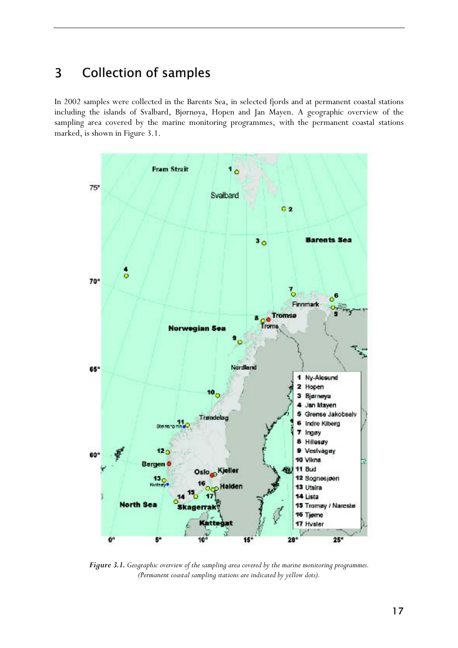# 3 Collection of samples

In 2002 samples were collected in the Barents Sea, in selected fjords and at permanent coastal stations including the islands of Svalbard, Bjørnøya, Hopen and Jan Mayen. A geographic overview of the sampling area covered by the marine monitoring programmes, with the permanent coastal stations marked, is shown in Figure 3.1.



*Figure 3.1. Geographic overview of the sampling area covered by the marine monitoring programmes. (Permanent coastal sampling stations are indicated by yellow dots).*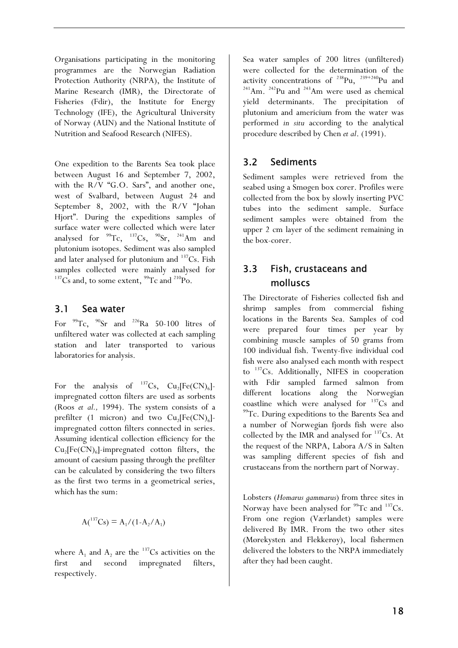Organisations participating in the monitoring programmes are the Norwegian Radiation Protection Authority (NRPA), the Institute of Marine Research (IMR), the Directorate of Fisheries (Fdir), the Institute for Energy Technology (IFE), the Agricultural University of Norway (AUN) and the National Institute of Nutrition and Seafood Research (NIFES).

One expedition to the Barents Sea took place between August 16 and September 7, 2002, with the R/V "G.O. Sars", and another one, west of Svalbard, between August 24 and September 8, 2002, with the R/V "Johan Hjort". During the expeditions samples of surface water were collected which were later analysed for  $^{99}$ Tc,  $^{137}$ Cs,  $^{90}$ Sr,  $^{241}$ Am and plutonium isotopes. Sediment was also sampled and later analysed for plutonium and  $137Cs$ . Fish samples collected were mainly analysed for <sup>137</sup>Cs and, to some extent, <sup>99</sup>Tc and <sup>210</sup>Po.

### 3.1 Sea water

For  $^{99}$ Tc,  $^{90}$ Sr and  $^{226}$ Ra 50-100 litres of unfiltered water was collected at each sampling station and later transported to various laboratories for analysis.

For the analysis of  $^{137}Cs$ , Cu<sub>2</sub>[Fe(CN)<sub>6</sub>]impregnated cotton filters are used as sorbents (Roos *et al.,* 1994). The system consists of a prefilter (1 micron) and two  $Cu<sub>2</sub>[Fe(CN)<sub>6</sub>]$ impregnated cotton filters connected in series. Assuming identical collection efficiency for the  $Cu<sub>2</sub>[Fe(CN)<sub>6</sub>]$ -impregnated cotton filters, the amount of caesium passing through the prefilter can be calculated by considering the two filters as the first two terms in a geometrical series, which has the sum:

$$
A({}^{137}Cs) = A_1/(1 - A_2/A_1)
$$

where  $A_1$  and  $A_2$  are the <sup>137</sup>Cs activities on the first and second impregnated filters, respectively.

Sea water samples of 200 litres (unfiltered) were collected for the determination of the activity concentrations of  $^{238}$ Pu,  $^{239+240}$ Pu and  $241$ Am.  $242$ Pu and  $243$ Am were used as chemical yield determinants. The precipitation of plutonium and americium from the water was performed *in situ* according to the analytical procedure described by Chen *et al*. (1991).

# 3.2 Sediments

Sediment samples were retrieved from the seabed using a Smøgen box corer. Profiles were collected from the box by slowly inserting PVC tubes into the sediment sample. Surface sediment samples were obtained from the upper 2 cm layer of the sediment remaining in the box-corer.

# 3.3 Fish, crustaceans and molluscs molluscs

The Directorate of Fisheries collected fish and shrimp samples from commercial fishing locations in the Barents Sea. Samples of cod were prepared four times per year by combining muscle samples of 50 grams from 100 individual fish. Twenty-five individual cod fish were also analysed each month with respect to <sup>137</sup>Cs. Additionally, NIFES in cooperation with Fdir sampled farmed salmon from different locations along the Norwegian coastline which were analysed for  $137Cs$  and  $99TC$ . During expeditions to the Barents Sea and a number of Norwegian fjords fish were also collected by the IMR and analysed for  $137Cs$ . At the request of the NRPA, Labora A/S in Salten was sampling different species of fish and crustaceans from the northern part of Norway.

Lobsters (*Homarus gammarus*) from three sites in Norway have been analysed for  $99Tc$  and  $137Cs$ . From one region (Værlandet) samples were delivered By IMR. From the two other sites (Mørekysten and Flekkerøy), local fishermen delivered the lobsters to the NRPA immediately after they had been caught.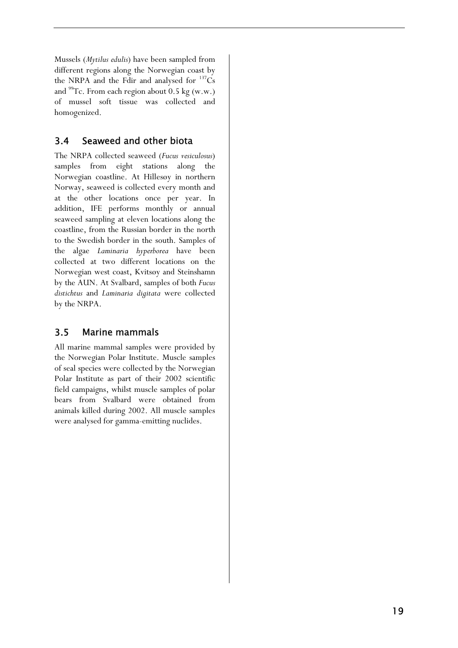Mussels (*Mytilus edulis*) have been sampled from different regions along the Norwegian coast by the NRPA and the Fdir and analysed for  $137Cs$ and  $^{99}$ Tc. From each region about 0.5 kg (w.w.) of mussel soft tissue was collected and homogenized.

# 3.4 Seaweed and other biota

The NRPA collected seaweed (*Fucus vesiculosus*) samples from eight stations along the Norwegian coastline. At Hillesøy in northern Norway, seaweed is collected every month and at the other locations once per year. In addition, IFE performs monthly or annual seaweed sampling at eleven locations along the coastline, from the Russian border in the north to the Swedish border in the south. Samples of the algae *Laminaria hyperborea* have been collected at two different locations on the Norwegian west coast, Kvitsøy and Steinshamn by the AUN. At Svalbard, samples of both *Fucus distichtus* and *Laminaria digitata* were collected by the NRPA.

# 3.5 Marine mammals

All marine mammal samples were provided by the Norwegian Polar Institute. Muscle samples of seal species were collected by the Norwegian Polar Institute as part of their 2002 scientific field campaigns, whilst muscle samples of polar bears from Svalbard were obtained from animals killed during 2002. All muscle samples were analysed for gamma-emitting nuclides.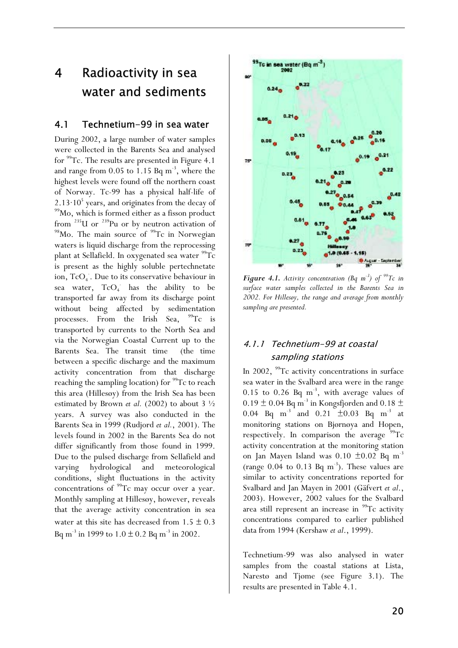# 4 Radioactivity in sea water and sediments

### 4.1 Technetium-99 in sea water

During 2002, a large number of water samples were collected in the Barents Sea and analysed for 99Tc. The results are presented in Figure 4.1 and range from  $0.05$  to  $1.15$  Bq m<sup>-3</sup>, where the highest levels were found off the northern coast of Norway. Tc-99 has a physical half-life of 2.13 $\cdot$ 10<sup>5</sup> years, and originates from the decay of <sup>99</sup>Mo, which is formed either as a fisson product from  $^{235}$ U or  $^{239}$ Pu or by neutron activation of  $^{98}$ Mo. The main source of  $^{99}$ Tc in Norwegian waters is liquid discharge from the reprocessing plant at Sellafield. In oxygenated sea water <sup>99</sup>Tc is present as the highly soluble pertechnetate ion, TcO<sub>4</sub>. Due to its conservative behaviour in sea water,  $TcO<sub>4</sub>$  has the ability to be transported far away from its discharge point without being affected by sedimentation processes. From the Irish Sea, <sup>99</sup>Tc is transported by currents to the North Sea and via the Norwegian Coastal Current up to the Barents Sea. The transit time (the time between a specific discharge and the maximum activity concentration from that discharge reaching the sampling location) for <sup>99</sup>Tc to reach this area (Hillesøy) from the Irish Sea has been estimated by Brown *et al.* (2002) to about 3 ½ years. A survey was also conducted in the Barents Sea in 1999 (Rudjord *et al.*, 2001). The levels found in 2002 in the Barents Sea do not differ significantly from those found in 1999. Due to the pulsed discharge from Sellafield and varying hydrological and meteorological conditions, slight fluctuations in the activity concentrations of <sup>99</sup>Tc may occur over a year. Monthly sampling at Hillesøy, however, reveals that the average activity concentration in sea water at this site has decreased from  $1.5 \pm 0.3$ Bq m<sup>-3</sup> in 1999 to  $1.0 \pm 0.2$  Bq m<sup>-3</sup> in 2002.



*Figure 4.1. Activity concentration (Bq m<sup>-3</sup>) of <sup>99</sup>Tc in surface water samples collected in the Barents Sea in 2002. For Hillesøy, the range and average from monthly sampling are presented.* 

## 4.1.1 Technetium-99 at coastal sampling stations

In 2002,  $99$ Tc activity concentrations in surface sea water in the Svalbard area were in the range 0.15 to 0.26 Bq  $m^{-3}$ , with average values of 0.19  $\pm$  0.04 Bq m<sup>-3</sup> in Kongsfjorden and 0.18  $\pm$ 0.04 Bq m<sup>-3</sup> and 0.21  $\pm$ 0.03 Bq m<sup>-3</sup> at monitoring stations on Bjørnøya and Hopen, respectively. In comparison the average  $99Tc$ activity concentration at the monitoring station on Jan Mayen Island was  $0.10 \pm 0.02$  Bq m<sup>-3</sup> (range  $0.04$  to  $0.13$  Bq m<sup>-3</sup>). These values are similar to activity concentrations reported for Svalbard and Jan Mayen in 2001 (Gäfvert *et al*., 2003). However, 2002 values for the Svalbard area still represent an increase in <sup>99</sup>Tc activity concentrations compared to earlier published data from 1994 (Kershaw *et al*., 1999).

Technetium-99 was also analysed in water samples from the coastal stations at Lista, Narestø and Tjøme (see Figure 3.1). The results are presented in Table 4.1.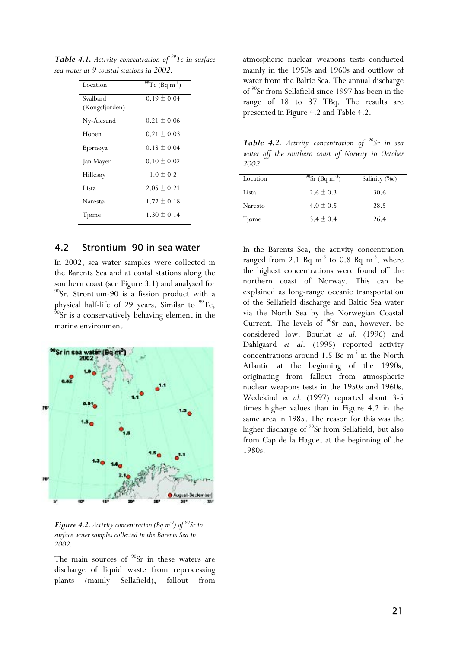| Location       | $\sqrt[99]{\text{TC}}$ (Bq m <sup>-3</sup> ) |
|----------------|----------------------------------------------|
| Svalbard       | $0.19 \pm 0.04$                              |
| (Kongsfjorden) |                                              |
| Ny-Ålesund     | $0.21 \pm 0.06$                              |
| Hopen          | $0.21 \pm 0.03$                              |
| Bjørnøya       | $0.18 \pm 0.04$                              |
| Jan Mayen      | $0.10 \pm 0.02$                              |
| Hillesøy       | $1.0 \pm 0.2$                                |
| Lista          | $2.05 \pm 0.21$                              |
| Narestø        | $1.72 \pm 0.18$                              |
| Tjøme          | $1.30 \pm 0.14$                              |

*Table 4.1. Activity concentration of 99Tc in surface sea water at 9 coastal stations in 2002.* 

### 4.2 Strontium-90 in sea water

In 2002, sea water samples were collected in the Barents Sea and at costal stations along the southern coast (see Figure 3.1) and analysed for 90Sr. Strontium-90 is a fission product with a physical half-life of 29 years. Similar to  $^{99}$ Tc,  $^{90}$ Sr is a conservatively behaving element in the marine environment.



*Figure 4.2. Activity concentration (Bq m<sup>-3</sup>) of <sup>90</sup>Sr in surface water samples collected in the Barents Sea in 2002.* 

The main sources of  $90$ Sr in these waters are discharge of liquid waste from reprocessing plants (mainly Sellafield), fallout from

atmospheric nuclear weapons tests conducted mainly in the 1950s and 1960s and outflow of water from the Baltic Sea. The annual discharge of 90Sr from Sellafield since 1997 has been in the range of 18 to 37 TBq. The results are presented in Figure 4.2 and Table 4.2.

*Table 4.2. Activity concentration of 90Sr in sea water off the southern coast of Norway in October 2002.*

| Location | $^{90}$ Sr (Bq m <sup>-3</sup> ) | Salinity $(\%_0)$ |
|----------|----------------------------------|-------------------|
| Lista    | $2.6 \pm 0.3$                    | 30.6              |
| Narestø  | $4.0 \pm 0.5$                    | 28.5              |
| Tjøme    | $3.4 \pm 0.4$                    | 26.4              |

In the Barents Sea, the activity concentration ranged from 2.1 Bq  $m^{-3}$  to 0.8 Bq  $m^{-3}$ , where the highest concentrations were found off the northern coast of Norway. This can be explained as long-range oceanic transportation of the Sellafield discharge and Baltic Sea water via the North Sea by the Norwegian Coastal Current. The levels of  $90$ Sr can, however, be considered low. Bourlat *et al.* (1996) and Dahlgaard *et al*. (1995) reported activity concentrations around 1.5 Bq  $m^{-3}$  in the North Atlantic at the beginning of the 1990s, originating from fallout from atmospheric nuclear weapons tests in the 1950s and 1960s. Wedekind *et al.* (1997) reported about 3-5 times higher values than in Figure 4.2 in the same area in 1985. The reason for this was the higher discharge of <sup>90</sup>Sr from Sellafield, but also from Cap de la Hague, at the beginning of the 1980s.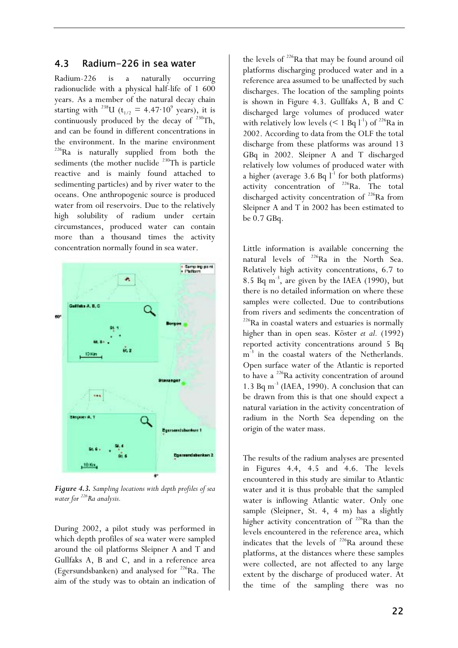### 4.3 Radium-226 in sea water

Radium-226 is a naturally occurring radionuclide with a physical half-life of 1 600 years. As a member of the natural decay chain starting with <sup>238</sup>U ( $t_{1/2}$  = 4.47·10<sup>9</sup> years), it is continuously produced by the decay of <sup>230</sup>Th, and can be found in different concentrations in the environment. In the marine environment <sup>226</sup>Ra is naturally supplied from both the sediments (the mother nuclide  $^{230}$ Th is particle reactive and is mainly found attached to sedimenting particles) and by river water to the oceans. One anthropogenic source is produced water from oil reservoirs. Due to the relatively high solubility of radium under certain circumstances, produced water can contain more than a thousand times the activity concentration normally found in sea water.



*Figure 4.3. Sampling locations with depth profiles of sea water for 226Ra analysis.*

During 2002, a pilot study was performed in which depth profiles of sea water were sampled around the oil platforms Sleipner A and T and Gullfaks A, B and C, and in a reference area (Egersundsbanken) and analysed for  $226$ Ra. The aim of the study was to obtain an indication of the levels of <sup>226</sup>Ra that may be found around oil platforms discharging produced water and in a reference area assumed to be unaffected by such discharges. The location of the sampling points is shown in Figure 4.3. Gullfaks A, B and C discharged large volumes of produced water with relatively low levels  $(< 1$  Bq  $l^{-1}$ ) of <sup>226</sup>Ra in 2002. According to data from the OLF the total discharge from these platforms was around 13 GBq in 2002. Sleipner A and T discharged relatively low volumes of produced water with a higher (average 3.6 Bq  $l^{-1}$  for both platforms) activity concentration of  $^{226}$ Ra. The total discharged activity concentration of  $^{226}$ Ra from Sleipner A and T in 2002 has been estimated to be 0.7 GBq.

Little information is available concerning the natural levels of <sup>226</sup>Ra in the North Sea. Relatively high activity concentrations, 6.7 to 8.5 Bq m-3, are given by the IAEA (1990), but there is no detailed information on where these samples were collected. Due to contributions from rivers and sediments the concentration of  $226$ Ra in coastal waters and estuaries is normally higher than in open seas. Köster *et al.* (1992) reported activity concentrations around 5 Bq m<sup>-3</sup> in the coastal waters of the Netherlands. Open surface water of the Atlantic is reported to have a 226Ra activity concentration of around 1.3 Bq  $m^{-3}$  (IAEA, 1990). A conclusion that can be drawn from this is that one should expect a natural variation in the activity concentration of radium in the North Sea depending on the origin of the water mass.

The results of the radium analyses are presented in Figures 4.4, 4.5 and 4.6. The levels encountered in this study are similar to Atlantic water and it is thus probable that the sampled water is inflowing Atlantic water. Only one sample (Sleipner, St. 4, 4 m) has a slightly higher activity concentration of <sup>226</sup>Ra than the levels encountered in the reference area, which indicates that the levels of  $226$ Ra around these platforms, at the distances where these samples were collected, are not affected to any large extent by the discharge of produced water. At the time of the sampling there was no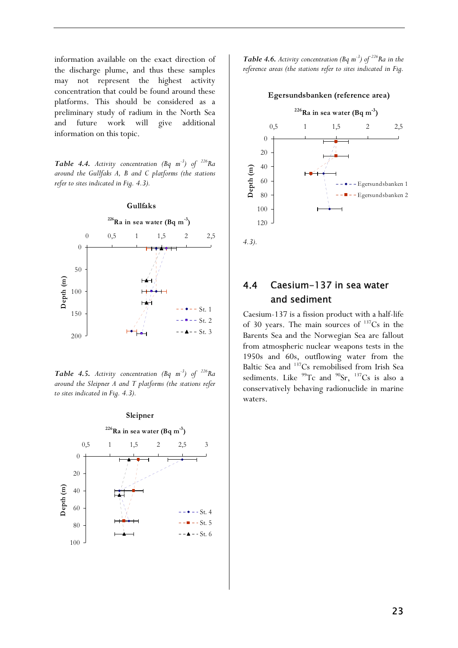information available on the exact direction of the discharge plume, and thus these samples may not represent the highest activity concentration that could be found around these platforms. This should be considered as a preliminary study of radium in the North Sea and future work will give additional information on this topic.

*Table 4.4. Activity concentration (Bq m-3) of 226Ra around the Gullfaks A, B and C platforms (the stations refer to sites indicated in Fig. 4.3).* 



*Table 4.5. Activity concentration (Bq m-3) of 226Ra around the Sleipner A and T platforms (the stations refer to sites indicated in Fig. 4.3).* 



*Table 4.6. Activity concentration (Bq m<sup>-3</sup>) of <sup>226</sup>Ra in the reference areas (the stations refer to sites indicated in Fig.* 



*4.3).* 

# 4.4 Caesium-137 in sea water and sediment

Caesium-137 is a fission product with a half-life of 30 years. The main sources of  $137Cs$  in the Barents Sea and the Norwegian Sea are fallout from atmospheric nuclear weapons tests in the 1950s and 60s, outflowing water from the Baltic Sea and <sup>137</sup>Cs remobilised from Irish Sea sediments. Like  $99Tc$  and  $90Sr$ ,  $137Cs$  is also a conservatively behaving radionuclide in marine waters.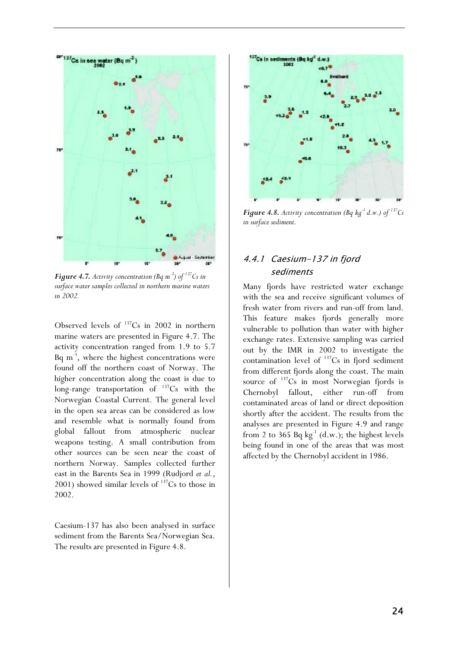

*Figure 4.7. Activity concentration (Bq m<sup>-3</sup>) of*  $137Cs$  *in surface water samples collected in northern marine waters in 2002.* 

Observed levels of  $137$ Cs in 2002 in northern marine waters are presented in Figure 4.7. The activity concentration ranged from 1.9 to 5.7 Bq  $m^{-3}$ , where the highest concentrations were found off the northern coast of Norway. The higher concentration along the coast is due to long-range transportation of  $137Cs$  with the Norwegian Coastal Current. The general level in the open sea areas can be considered as low and resemble what is normally found from global fallout from atmospheric nuclear weapons testing. A small contribution from other sources can be seen near the coast of northern Norway. Samples collected further east in the Barents Sea in 1999 (Rudjord *et al.*, 2001) showed similar levels of  $137Cs$  to those in 2002.

Caesium-137 has also been analysed in surface sediment from the Barents Sea/Norwegian Sea. The results are presented in Figure 4.8.



*Figure 4.8. Activity concentration (Bq kg<sup>-1</sup> d.w.) of*  $^{137}Cs$ *in surface sediment.* 

### 4.4.1 Caesium-137 in fjord sediments

Many fjords have restricted water exchange with the sea and receive significant volumes of fresh water from rivers and run-off from land. This feature makes fjords generally more vulnerable to pollution than water with higher exchange rates. Extensive sampling was carried out by the IMR in 2002 to investigate the contamination level of  $137$ Cs in fjord sediment from different fjords along the coast. The main source of  $137$ Cs in most Norwegian fjords is Chernobyl fallout, either run-off from contaminated areas of land or direct deposition shortly after the accident. The results from the analyses are presented in Figure 4.9 and range from 2 to 365 Bq  $kg^{-1}$  (d.w.); the highest levels being found in one of the areas that was most affected by the Chernobyl accident in 1986.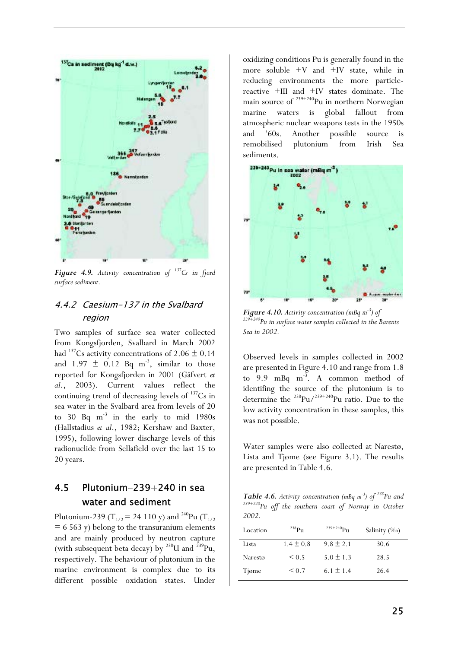

*Figure 4.9. Activity concentration of 137Cs in fjord surface sediment.*

## 4.4.2 Caesium-137 in the Svalbard region

Two samples of surface sea water collected from Kongsfjorden, Svalbard in March 2002 had <sup>137</sup>Cs activity concentrations of 2.06  $\pm$  0.14 and  $1.97 \pm 0.12$  Bq m<sup>-3</sup>, similar to those reported for Kongsfjorden in 2001 (Gäfvert *et al*., 2003). Current values reflect the continuing trend of decreasing levels of  $137Cs$  in sea water in the Svalbard area from levels of 20 to 30 Bq  $m^{-3}$  in the early to mid 1980s (Hallstadius *et al*., 1982; Kershaw and Baxter, 1995), following lower discharge levels of this radionuclide from Sellafield over the last 15 to 20 years.

# 4.5 Plutonium-239+240 in sea water and sediment

Plutonium-239 (T<sub>1/2</sub> = 24 110 y) and <sup>240</sup>Pu (T<sub>1/2</sub>)  $= 6563$  y) belong to the transuranium elements and are mainly produced by neutron capture (with subsequent beta decay) by  $^{238}$ U and  $^{239}$ Pu, respectively. The behaviour of plutonium in the marine environment is complex due to its different possible oxidation states. Under

oxidizing conditions Pu is generally found in the more soluble  $+V$  and  $+IV$  state, while in reducing environments the more particlereactive +III and +IV states dominate. The main source of  $239+240$ Pu in northern Norwegian<br>marine waters is global fallout from global fallout from atmospheric nuclear weapons tests in the 1950s and '60s. Another possible source is remobilised plutonium from Irish Sea sediments.



*Figure 4.10. Activity concentration (mBq m<sup>-3</sup>) of*  $^{239+240}$ Pu in surface water samples collected in the Barents *Sea in 2002.* 

Observed levels in samples collected in 2002 are presented in Figure 4.10 and range from 1.8 to  $9.9$  mBq m<sup>-3</sup>. A common method of identifing the source of the plutonium is to determine the  $^{238}$ Pu/<sup>239+240</sup>Pu ratio. Due to the low activity concentration in these samples, this was not possible.

Water samples were also collected at Narestø, Lista and Tjøme (see Figure 3.1). The results are presented in Table 4.6.

*Table 4.6. Activity concentration (mBq m-3) of 238Pu and 239+240Pu off the southern coast of Norway in October 2002.* 

| Location | $^{238}P_{11}$ | $^{239+240}$ Pu | Salinity $(\%_0)$ |
|----------|----------------|-----------------|-------------------|
| Lista    | $1.4 \pm 0.8$  | $9.8 + 2.1$     | 30.6              |
| Narestø  | ${}_{0.5}$     | $5.0 \pm 1.3$   | 28.5              |
| Tjøme    | ${}_{0.7}$     | $6.1 \pm 1.4$   | 26.4              |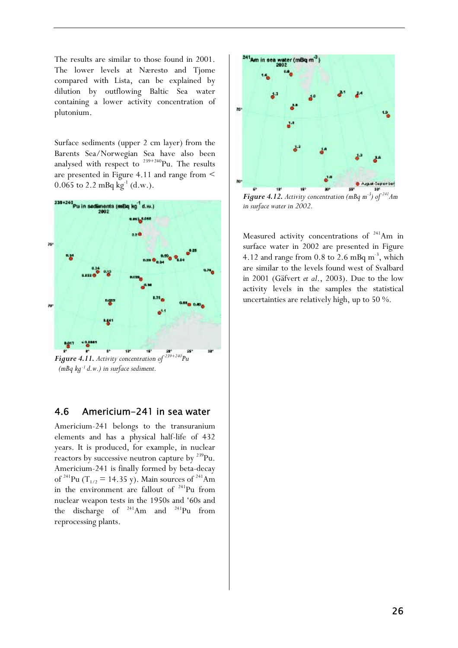The results are similar to those found in 2001. The lower levels at Nærestø and Tjøme compared with Lista, can be explained by dilution by outflowing Baltic Sea water containing a lower activity concentration of plutonium.

Surface sediments (upper 2 cm layer) from the Barents Sea/Norwegian Sea have also been analysed with respect to  $^{239+240}$ Pu. The results are presented in Figure 4.11 and range from < 0.065 to 2.2 mBq  $kg^{-1}$  (d.w.).



 $(mBq kg^{-1} d.w.)$  in surface sediment.

### 4.6 Americium-241 in sea water

Americium-241 belongs to the transuranium elements and has a physical half-life of 432 years. It is produced, for example, in nuclear reactors by successive neutron capture by <sup>239</sup>Pu. Americium-241 is finally formed by beta-decay of <sup>241</sup>Pu (T<sub>1/2</sub> = 14.35 y). Main sources of <sup>241</sup>Am in the environment are fallout of  $241$ Pu from nuclear weapon tests in the 1950s and '60s and the discharge of  $241$ Am and  $241$ Pu from reprocessing plants.



*Figure 4.12. Activity concentration (mBq m<sup>-3</sup>) of in surface water in 2002.* 

Measured activity concentrations of  $241$ Am in surface water in 2002 are presented in Figure 4.12 and range from  $0.8$  to  $2.6$  mBq m<sup>-3</sup>, which are similar to the levels found west of Svalbard in 2001 (Gäfvert *et al*., 2003). Due to the low activity levels in the samples the statistical uncertainties are relatively high, up to 50 %.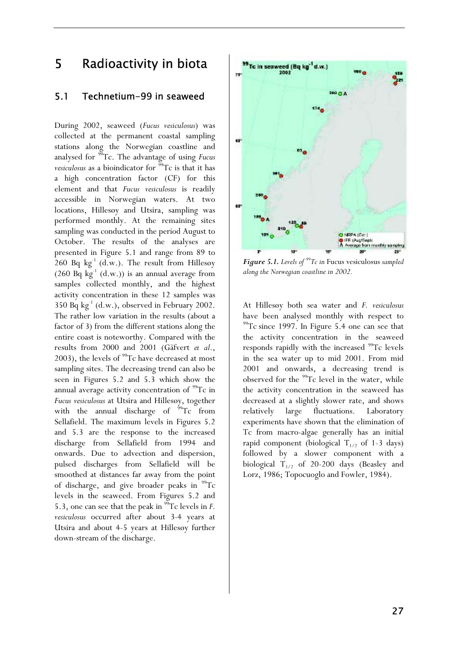# 5 Radioactivity in biota

### 5.1 Technetium-99 in seaweed

During 2002, seaweed (*Fucus vesiculosus*) was collected at the permanent coastal sampling stations along the Norwegian coastline and analysed for 99Tc. The advantage of using *Fucus vesiculosus* as a bioindicator for  $\frac{59}{9}$ Tc is that it has a high concentration factor (CF) for this element and that *Fucus vesiculosus* is readily accessible in Norwegian waters. At two locations, Hillesøy and Utsira, sampling was performed monthly. At the remaining sites sampling was conducted in the period August to October. The results of the analyses are presented in Figure 5.1 and range from 89 to 260 Bq  $kg^{-1}$  (d.w.). The result from Hillesøy  $(260 \text{ Bq kg}^{-1} (\text{d.w.}))$  is an annual average from samples collected monthly, and the highest activity concentration in these 12 samples was 350 Bq  $kg^{-1}$  (d.w.), observed in February 2002. The rather low variation in the results (about a factor of 3) from the different stations along the entire coast is noteworthy. Compared with the results from 2000 and 2001 (Gäfvert *et al*., 2003), the levels of  $99$ Tc have decreased at most sampling sites. The decreasing trend can also be seen in Figures 5.2 and 5.3 which show the annual average activity concentration of <sup>99</sup>Tc in *Fucus vesiculosus* at Utsira and Hillesøy, together with the annual discharge of  $99Tc$  from Sellafield. The maximum levels in Figures 5.2 and 5.3 are the response to the increased discharge from Sellafield from 1994 and onwards. Due to advection and dispersion, pulsed discharges from Sellafield will be smoothed at distances far away from the point of discharge, and give broader peaks in  $^{99}$ Tc levels in the seaweed. From Figures 5.2 and 5.3, one can see that the peak in 99Tc levels in *F. vesiculosus* occurred after about 3-4 years at Utsira and about 4-5 years at Hillesøy further down-stream of the discharge.



*Figure 5.1. Levels of 99Tc in* Fucus vesiculosus *sampled along the Norwegian coastline in 2002.* 

At Hillesøy both sea water and *F. vesiculosus* have been analysed monthly with respect to  $^{99}$ Tc since 1997. In Figure 5.4 one can see that the activity concentration in the seaweed responds rapidly with the increased <sup>99</sup>Tc levels in the sea water up to mid 2001. From mid 2001 and onwards, a decreasing trend is observed for the  $99$ Tc level in the water, while the activity concentration in the seaweed has decreased at a slightly slower rate, and shows relatively large fluctuations. Laboratory experiments have shown that the elimination of Tc from macro-algae generally has an initial rapid component (biological  $T_{1/2}$  of 1-3 days) followed by a slower component with a biological  $T_{1/2}$  of 20-200 days (Beasley and Lorz, 1986; Topocuoglo and Fowler, 1984).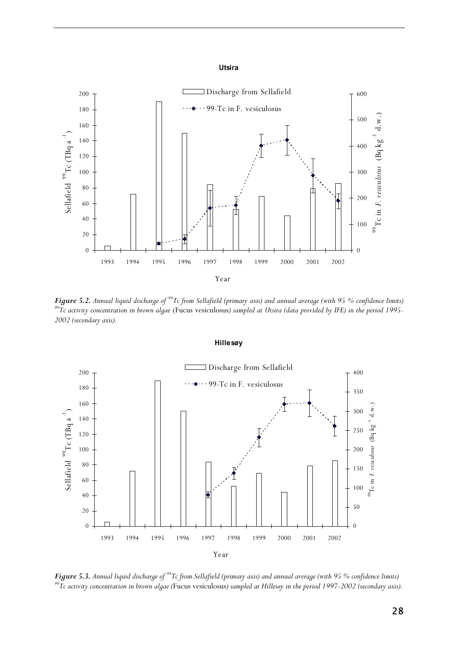#### **Utsira**



**Figure 5.2.** Annual liquid discharge of <sup>99</sup>Tc from Sellafield (primary axis) and annual average (with 95 % confidence limits)  $^{99}$ Tc activity concentration in brown algae (Fucus vesiculosus) sampled at Utsira (data pr *2002 (secondary axis).* 



**Figure 5.3.** Annual liquid discharge of <sup>99</sup>Tc from Sellafield (primary axis) and annual average (with 95 % confidence limits)<br><sup>99</sup>Tc activity concentration in brown algae (Fucus vesiculosus) sampled at Hillesøy in the p

**Hillesøy**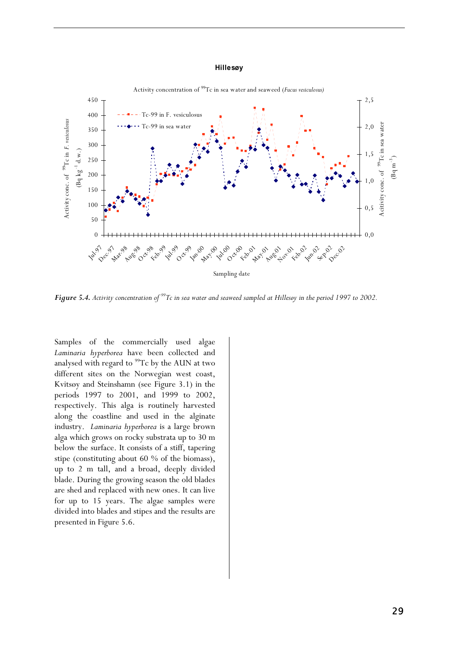#### **Hillesøy**



*Figure 5.4. Activity concentration of 99Tc in sea water and seaweed sampled at Hillesøy in the period 1997 to 2002.* 

Samples of the commercially used algae *Laminaria hyperborea* have been collected and analysed with regard to  $99$ Tc by the AUN at two different sites on the Norwegian west coast, Kvitsøy and Steinshamn (see Figure 3.1) in the periods 1997 to 2001, and 1999 to 2002, respectively. This alga is routinely harvested along the coastline and used in the alginate industry. *Laminaria hyperborea* is a large brown alga which grows on rocky substrata up to 30 m below the surface. It consists of a stiff, tapering stipe (constituting about 60 % of the biomass), up to 2 m tall, and a broad, deeply divided blade. During the growing season the old blades are shed and replaced with new ones. It can live for up to 15 years. The algae samples were divided into blades and stipes and the results are presented in Figure 5.6.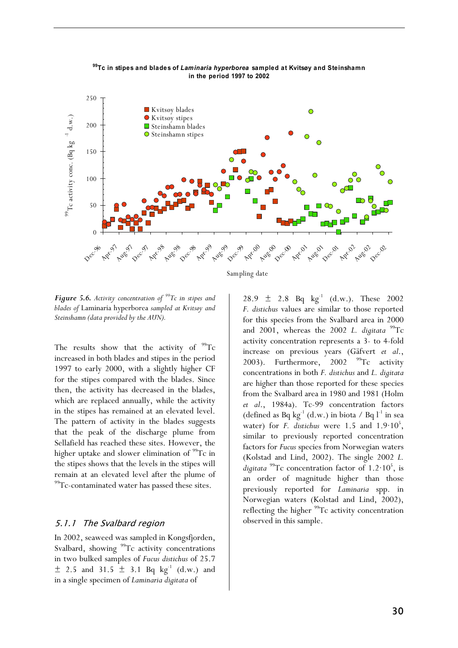

**99Tc in stipes and blades of** *Laminaria hyperborea* **sampled at Kvitsøy and Steinshamn in the period 1997 to 2002**

Sampling date

*Figure 5.6. Activity concentration of 99Tc in stipes and blades of* Laminaria hyperborea *sampled at Kvitsøy and Steinshamn (data provided by the AUN).* 

The results show that the activity of  $99Tc$ increased in both blades and stipes in the period 1997 to early 2000, with a slightly higher CF for the stipes compared with the blades. Since then, the activity has decreased in the blades, which are replaced annually, while the activity in the stipes has remained at an elevated level. The pattern of activity in the blades suggests that the peak of the discharge plume from Sellafield has reached these sites. However, the higher uptake and slower elimination of  $99Tc$  in the stipes shows that the levels in the stipes will remain at an elevated level after the plume of <sup>99</sup>Tc-contaminated water has passed these sites.

#### 5.1.1 The Svalbard region

In 2002, seaweed was sampled in Kongsfjorden, Svalbard, showing <sup>99</sup>Tc activity concentrations in two bulked samples of *Fucus distichus* of 25.7  $\pm$  2.5 and 31.5  $\pm$  3.1 Bq kg<sup>-1</sup> (d.w.) and in a single specimen of *Laminaria digitata* of

28.9  $\pm$  2.8 Bq kg<sup>-1</sup> (d.w.). These 2002 *F. distichus* values are similar to those reported for this species from the Svalbard area in 2000 and 2001, whereas the 2002 *L. digitata* <sup>99</sup>Tc activity concentration represents a 3- to 4-fold increase on previous years (Gäfvert *et al*., 2003). Furthermore, 2002  $^{99}$ Tc activity concentrations in both *F. distichus* and *L. digitata* are higher than those reported for these species from the Svalbard area in 1980 and 1981 (Holm *et al*., 1984a). Tc-99 concentration factors (defined as Bq kg<sup>-1</sup> (d.w.) in biota / Bq  $l^{-1}$  in sea water) for *F. distichus* were  $1.5$  and  $1.9 \cdot 10^5$ , similar to previously reported concentration factors for *Fucus* species from Norwegian waters (Kolstad and Lind, 2002). The single 2002 *L.*  digitata<sup>99</sup>Tc concentration factor of 1.2·10<sup>5</sup>, is an order of magnitude higher than those previously reported for *Laminaria* spp. in Norwegian waters (Kolstad and Lind, 2002), reflecting the higher  $^{99}$ Tc activity concentration observed in this sample.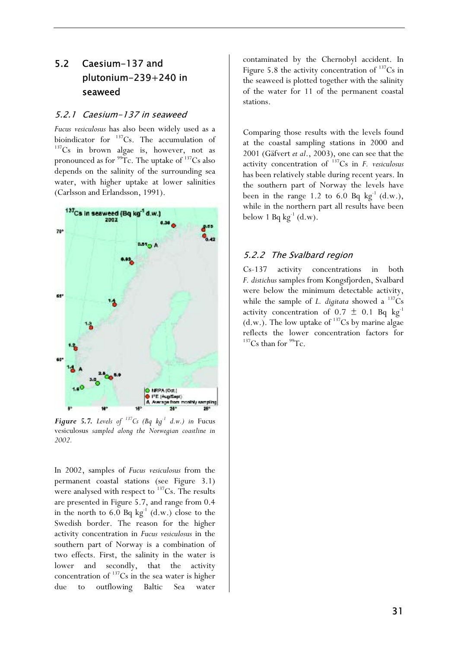# 5.2 Caesium-137 and plutonium-239+240 in seaweed

#### 5.2.1 Caesium-137 in seaweed

*Fucus vesiculosus* has also been widely used as a bioindicator for <sup>137</sup>Cs. The accumulation of  $h^{137}Cs$  in brown algae is, however, not as pronounced as for  $99$ Tc. The uptake of  $137$ Cs also depends on the salinity of the surrounding sea water, with higher uptake at lower salinities (Carlsson and Erlandsson, 1991).



*Figure 5.7. Levels of*  $^{137}Cs$  (Bq kg<sup>-1</sup> d.w.) in Fucus vesiculosus *sampled along the Norwegian coastline in 2002.* 

In 2002, samples of *Fucus vesiculosus* from the permanent coastal stations (see Figure 3.1) were analysed with respect to  $137$ Cs. The results are presented in Figure 5.7, and range from 0.4 in the north to 6.0 Bq  $kg^{-1}$  (d.w.) close to the Swedish border. The reason for the higher activity concentration in *Fucus vesiculosus* in the southern part of Norway is a combination of two effects. First, the salinity in the water is lower and secondly, that the activity concentration of  $137$ Cs in the sea water is higher due to outflowing Baltic Sea water

contaminated by the Chernobyl accident. In Figure 5.8 the activity concentration of  $137Cs$  in the seaweed is plotted together with the salinity of the water for 11 of the permanent coastal stations.

Comparing those results with the levels found at the coastal sampling stations in 2000 and 2001 (Gäfvert *et al*., 2003), one can see that the activity concentration of 137Cs in *F. vesiculosus*  has been relatively stable during recent years. In the southern part of Norway the levels have been in the range 1.2 to 6.0 Bq  $kg^{-1}$  (d.w.), while in the northern part all results have been below 1 Bq  $kg^{-1}$  (d.w).

### 5.2.2 The Svalbard region

Cs-137 activity concentrations in both *F. distichus* samples from Kongsfjorden, Svalbard were below the minimum detectable activity, while the sample of *L. digitata* showed a  $^{137}Cs$ activity concentration of  $0.7 \pm 0.1$  Bq kg<sup>-1</sup> (d.w.). The low uptake of  $^{137}Cs$  by marine algae reflects the lower concentration factors for  $137$ Cs than for  $99$ Tc.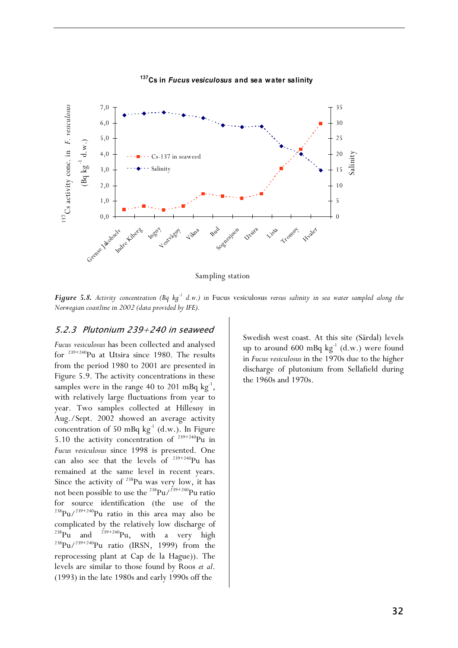

#### **137Cs in** *Fucus vesiculosus* **and sea water salinity**

Sampling station

*Figure 5.8. Activity concentration (Bq kg-1 d.w.) in* Fucus vesiculosus *versus salinity in sea water sampled along the Norwegian coastline in 2002 (data provided by IFE).* 

#### 5.2.3 Plutonium 239+240 in seaweed

*Fucus vesiculosus* has been collected and analysed for  $239+240$ Pu at Utsira since 1980. The results from the period 1980 to 2001 are presented in Figure 5.9. The activity concentrations in these samples were in the range 40 to 201 mBq  $kg^{-1}$ , with relatively large fluctuations from year to year. Two samples collected at Hillesøy in Aug./Sept. 2002 showed an average activity concentration of 50 mBq  $kg^{-1}$  (d.w.). In Figure 5.10 the activity concentration of  $239+240$ Pu in *Fucus vesiculosus* since 1998 is presented. One can also see that the levels of  $239+240$ Pu has remained at the same level in recent years. Since the activity of  $238$ Pu was very low, it has not been possible to use the  $^{238}$ Pu/ $^{239+240}$ Pu ratio for source identification (the use of the  $^{238}$ Pu/<sup>239+240</sup>Pu ratio in this area may also be complicated by the relatively low discharge of<br> $^{238}$ Pu and  $^{239+240}$ Pu, with a very high  $^{238}$ Pu/<sup>239+240</sup>Pu ratio (IRSN, 1999) from the reprocessing plant at Cap de la Hague)). The levels are similar to those found by Roos *et al*. (1993) in the late 1980s and early 1990s off the

Swedish west coast. At this site (Särdal) levels up to around 600 mBq  $kg^{-1}$  (d.w.) were found in *Fucus vesiculosus* in the 1970s due to the higher discharge of plutonium from Sellafield during the 1960s and 1970s.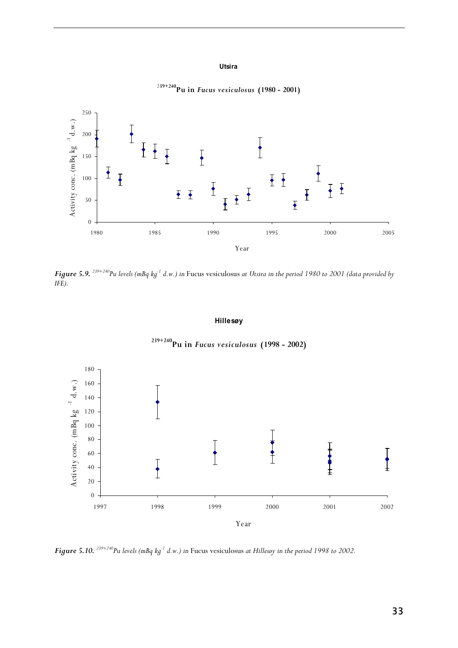#### **Utsira**



<sup>2</sup>**39+240Pu in** *Fucus vesiculosus* **(1980 - 2001)**

*Figure 5.9. 239+240Pu levels (mBq kg-1 d.w.) in* Fucus vesiculosus *at Utsira in the period 1980 to 2001 (data provided by IFE).* 

#### **Hillesøy**



**239+240Pu in** *Fucus vesiculosus* **(1998 - 2002)**

*Figure 5.10. 239+240Pu levels (mBq kg-1 d.w.) in* Fucus vesiculosus *at Hillesøy in the period 1998 to 2002.*

33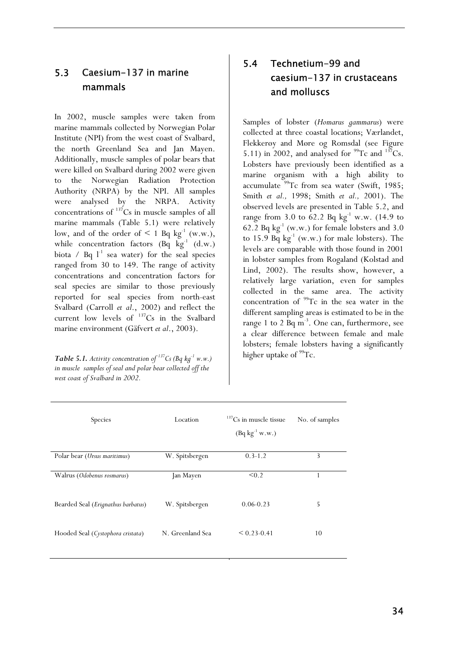# 5.3 Caesium-137 in marine mammals

In 2002, muscle samples were taken from marine mammals collected by Norwegian Polar Institute (NPI) from the west coast of Svalbard, the north Greenland Sea and Jan Mayen. Additionally, muscle samples of polar bears that were killed on Svalbard during 2002 were given to the Norwegian Radiation Protection Authority (NRPA) by the NPI. All samples were analysed by the NRPA. Activity concentrations of  $137Cs$  in muscle samples of all marine mammals (Table 5.1) were relatively low, and of the order of  $\leq 1$  Bq kg<sup>-1</sup> (w.w.), while concentration factors  $(Bq \text{ kg}^{-1} (d.w))$ biota / Bq  $l^{-1}$  sea water) for the seal species ranged from 30 to 149. The range of activity concentrations and concentration factors for seal species are similar to those previously reported for seal species from north-east Svalbard (Carroll *et al*., 2002) and reflect the current low levels of 137Cs in the Svalbard marine environment (Gäfvert *et al*., 2003).

**Table 5.1.** Activity concentration of <sup>137</sup>Cs (Bq kg<sup>-1</sup> w.w.) *in muscle samples of seal and polar bear collected off the west coast of Svalbard in 2002.* 

# 5.4 Technetium-99 and caesium-137 in crustaceans and molluscs

Samples of lobster (*Homarus gammarus*) were collected at three coastal locations; Værlandet, Flekkerøy and Møre og Romsdal (see Figure 5.11) in 2002, and analysed for  $^{99}$ Tc and  $^{137}$ Cs. Lobsters have previously been identified as a marine organism with a high ability to accumulate  $99$ Tc from sea water (Swift, 1985; Smith *et al.,* 1998; Smith *et al.,* 2001). The observed levels are presented in Table 5.2, and range from 3.0 to 62.2 Bq  $kg^{-1}$  w.w. (14.9 to 62.2 Bq  $kg^{-1}$  (w.w.) for female lobsters and 3.0 to 15.9 Bq  $kg^{-1}$  (w.w.) for male lobsters). The levels are comparable with those found in 2001 in lobster samples from Rogaland (Kolstad and Lind, 2002). The results show, however, a relatively large variation, even for samples collected in the same area. The activity concentration of  $99$ Tc in the sea water in the different sampling areas is estimated to be in the range 1 to 2  $Bq m<sup>-3</sup>$ . One can, furthermore, see a clear difference between female and male lobsters; female lobsters having a significantly higher uptake of  $99$ Tc.

| <b>Species</b>                              | Location         | $137$ Cs in muscle tissue<br>$(Bq kg^{-1} w.w.)$ | No. of samples |
|---------------------------------------------|------------------|--------------------------------------------------|----------------|
| Polar bear (Ursus maritimus)                | W. Spitsbergen   | $0.3 - 1.2$                                      | 3              |
| Walrus (Odobenus rosmarus)                  | Jan Mayen        | < 0.2                                            |                |
| Bearded Seal ( <i>Erignathus barbatus</i> ) | W. Spitsbergen   | $0.06 - 0.23$                                    | 5              |
| Hooded Seal (Cystophora cristata)           | N. Greenland Sea | $< 0.23 - 0.41$                                  | 10             |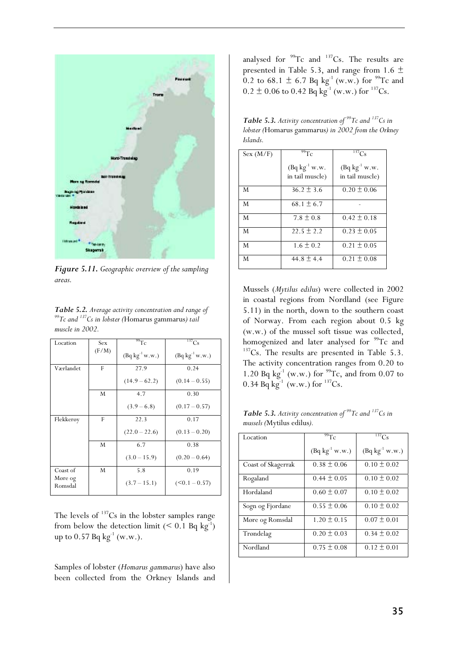

*Figure 5.11. Geographic overview of the sampling areas.* 

| Table 5.2. Average activity concentration and range of  |
|---------------------------------------------------------|
| $99$ Tc and $137$ Cs in lobster (Homarus gammarus) tail |
| muscle in 2002.                                         |

| Location           | Sex.  | 99Tc                | $^{137}Cs$          |
|--------------------|-------|---------------------|---------------------|
|                    | (F/M) | $(Bq kg^{-1} w.w.)$ | $(Bq kg^{-1} w.w.)$ |
| Værlandet          | F     | 27.9                | 0.24                |
|                    |       | $(14.9 - 62.2)$     | $(0.14 - 0.55)$     |
|                    | M     | 4.7                 | 0.30                |
|                    |       | $(3.9 - 6.8)$       | $(0.17 - 0.57)$     |
| Flekkerøy          | F     | 22.3                | 0.17                |
|                    |       | $(22.0 - 22.6)$     | $(0.13 - 0.20)$     |
|                    | M     | 6.7                 | 0.38                |
|                    |       | $(3.0 - 15.9)$      | $(0.20 - 0.64)$     |
| Coast of           | M     | 5.8                 | 0.19                |
| Møre og<br>Romsdal |       | $(3.7 - 15.1)$      | $(<0.1 - 0.57)$     |
|                    |       |                     |                     |

The levels of  $137$ Cs in the lobster samples range from below the detection limit  $(< 0.1$  Bq kg<sup>-1</sup>) up to  $0.57$  Bq kg<sup>-1</sup> (w.w.).

Samples of lobster (*Homarus gammarus*) have also been collected from the Orkney Islands and analysed for  $99Tc$  and  $137Cs$ . The results are presented in Table 5.3, and range from 1.6  $\pm$ 0.2 to 68.1  $\pm$  6.7 Bq kg<sup>-1</sup> (w.w.) for <sup>99</sup>Tc and  $0.2 \pm 0.06$  to 0.42 Bq kg<sup>-1</sup> (w.w.) for <sup>137</sup>Cs.

*Table 5.3. Activity concentration of 99Tc and 137Cs in lobster (*Homarus gammarus*) in 2002 from the Orkney Islands.*

| Sex (M/F) | $99T_C$                               | $\overline{^{137}}C_S$                |
|-----------|---------------------------------------|---------------------------------------|
|           | $(Bq kg^{-1} w.w.$<br>in tail muscle) | $(Bq kg^{-1} w.w.$<br>in tail muscle) |
| M         | $36.2 \pm 3.6$                        | $0.20 \pm 0.06$                       |
| M         | $68.1 \pm 6.7$                        |                                       |
| M         | $7.8 \pm 0.8$                         | $0.42 \pm 0.18$                       |
| M         | $22.5 \pm 2.2$                        | $0.23 \pm 0.05$                       |
| M         | $1.6 \pm 0.2$                         | $0.21 \pm 0.05$                       |
| M         | 44.8 $\pm$ 4.4                        | $0.21 \pm 0.08$                       |

Mussels (*Mytilus edilus*) were collected in 2002 in coastal regions from Nordland (see Figure 5.11) in the north, down to the southern coast of Norway. From each region about 0.5 kg (w.w.) of the mussel soft tissue was collected, homogenized and later analysed for  $\frac{99}{2}$ Tc and  $\frac{137}{2}$ Cs. The results are presented in Table 5.3. The activity concentration ranges from 0.20 to 1.20 Bq kg<sup>-1</sup> (w.w.) for <sup>99</sup>Tc, and from 0.07 to 0.34 Bq kg<sup>-1</sup> (w.w.) for  $^{137}Cs$ .

*Table 5.3. Activity concentration of 99Tc and 137Cs in mussels (*Mytilus edilus*).* 

| Location           | 99Tc                | $\overline{^{137}}C_S$ |
|--------------------|---------------------|------------------------|
|                    | $(Bq kg^{-1} w.w.)$ | $(Bq kg^{-1} w.w.)$    |
| Coast of Skagerrak | $0.38 \pm 0.06$     | $0.10 \pm 0.02$        |
| Rogaland           | $0.44 \pm 0.05$     | $0.10 \pm 0.02$        |
| Hordaland          | $0.60 \pm 0.07$     | $0.10 \pm 0.02$        |
| Sogn og Fjordane   | $0.55 \pm 0.06$     | $0.10 \pm 0.02$        |
| Møre og Romsdal    | $1.20 \pm 0.15$     | $0.07 \pm 0.01$        |
| Trøndelag          | $0.20 \pm 0.03$     | $0.34 \pm 0.02$        |
| Nordland           | $0.75 \pm 0.08$     | $0.12 \pm 0.01$        |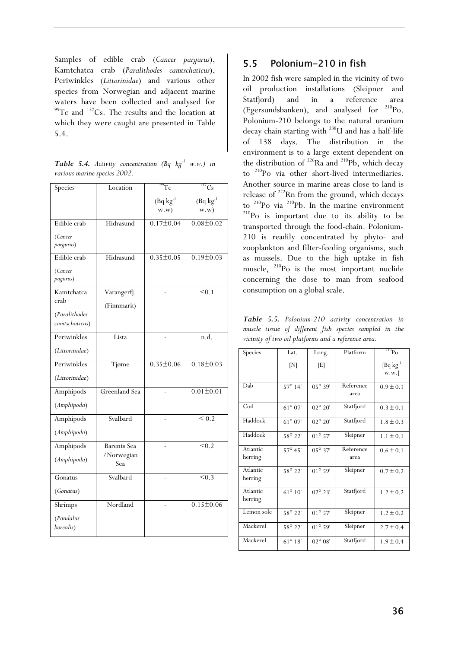Samples of edible crab (*Cancer pargurus*), Kamtchatca crab (*Paralithodes camtschaticus*), Periwinkles (*Littorinidae*) and various other species from Norwegian and adjacent marine waters have been collected and analysed for  $^{99}$ Tc and  $^{137}$ Cs. The results and the location at which they were caught are presented in Table 5.4.

|  |                              | <b>Table 5.4.</b> Activity concentration (Bq $kg^{-1}$ w.w.) in |  |  |
|--|------------------------------|-----------------------------------------------------------------|--|--|
|  | various marine species 2002. |                                                                 |  |  |

| Species                         | Location           | $\overline{99}$ Tc             | $137$ Cs               |
|---------------------------------|--------------------|--------------------------------|------------------------|
|                                 |                    | $(Bq \text{ kg}^{-1})$<br>w.w) | $(Bq kg^{-1})$<br>w.w) |
| Edible crab                     | Hidrasund          | $0.17 \pm 0.04$                | $0.08 \pm 0.02$        |
| (Cancer<br>pargurus)            |                    |                                |                        |
| Edible crab                     | Hidrasund          | $0.35 \pm 0.05$                | $0.19 \pm 0.03$        |
| (Cancer<br>pagurus)             |                    |                                |                        |
| Kamtchatca                      | Varangerfj.        |                                | < 0.1                  |
| crab                            | (Finnmark)         |                                |                        |
| (Paralithodes<br>camtschaticus) |                    |                                |                        |
| Periwinkles                     | Lista              |                                | n.d.                   |
| (Littorinidae)                  |                    |                                |                        |
| Periwinkles                     | Tjøme              | $0.35 \pm 0.06$                | $0.18 \pm 0.03$        |
| (Littorinidae)                  |                    |                                |                        |
| Amphipods                       | Greenland Sea      |                                | $0.01 \pm 0.01$        |
| (Amphipoda)                     |                    |                                |                        |
| Amphipods                       | Svalbard           |                                | < 0.2                  |
| (Amphipoda)                     |                    |                                |                        |
| Amphipods                       | <b>Barents</b> Sea |                                | $\overline{<}0.2$      |
| (Amphipoda)                     | /Norwegian<br>Sea  |                                |                        |
| Gonatus                         | Svalbard           |                                | < 0.3                  |
| (Gonatus)                       |                    |                                |                        |
| Shrimps                         | Nordland           |                                | $0.15 \pm 0.06$        |
| (Pandalus<br>borealis)          |                    |                                |                        |

### 5.5 Polonium-210 in fish

In 2002 fish were sampled in the vicinity of two oil production installations (Sleipner and Statfjord) and in a reference area (Egersundsbanken), and analysed for  $^{210}$ Po. Polonium-210 belongs to the natural uranium decay chain starting with 238U and has a half-life of 138 days. The distribution in the environment is to a large extent dependent on the distribution of  $226$ Ra and  $210$ Pb, which decay to 210Po via other short-lived intermediaries. Another source in marine areas close to land is release of <sup>222</sup>Rn from the ground, which decays<br>to <sup>210</sup>Po via <sup>210</sup>Pb. In the marine environment  $t^{210}Po$  is important due to its ability to be transported through the food-chain. Polonium-210 is readily concentrated by phyto- and zooplankton and filter-feeding organisms, such as mussels. Due to the high uptake in fish muscle, 210Po is the most important nuclide concerning the dose to man from seafood consumption on a global scale.

*Table 5.5. Polonium-210 activity concentration in muscle tissue of different fish species sampled in the vicinity of two oil platforms and a reference area.*

| Species             | Lat.             | Long.            | Platform          | $^{210}\text{Po}$      |
|---------------------|------------------|------------------|-------------------|------------------------|
|                     | [N]              | [E]              |                   | [Bq $kg^{-1}$<br>w.w.] |
| Dab                 | $57^{\circ}$ 14' | 05° 39'          | Reference<br>area | $0.9 \pm 0.1$          |
| Cod                 | $61^{\circ}07'$  | $02^{\circ} 20'$ | Statfjord         | $0.3 \pm 0.1$          |
| Haddock             | $61^{\circ}07'$  | $02^{\circ} 20'$ | Statfjord         | $1.8 \pm 0.3$          |
| Haddock             | 58° 22'          | $01^{\circ} 57'$ | Sleipner          | $1.1 \pm 0.1$          |
| Atlantic<br>herring | $57^{\circ}$ 45' | $05^{\circ} 37'$ | Reference<br>area | $0.6 \pm 0.1$          |
| Atlantic<br>herring | 58° 22'          | $01^{\circ}$ 59' | Sleipner          | $0.7 \pm 0.2$          |
| Atlantic<br>herring | $61^{\circ} 10'$ | $02^{\circ} 23'$ | Statfjord         | $1.2 \pm 0.2$          |
| Lemon sole          | 58° 22'          | $01^{\circ} 57'$ | Sleipner          | $1.2 \pm 0.2$          |
| Mackerel            | 58° 22'          | $01^{\circ} 59'$ | Sleipner          | $2.7 \pm 0.4$          |
| Mackerel            | $61^{\circ} 18'$ | $02^{\circ} 08'$ | Statfjord         | $1.9 \pm 0.4$          |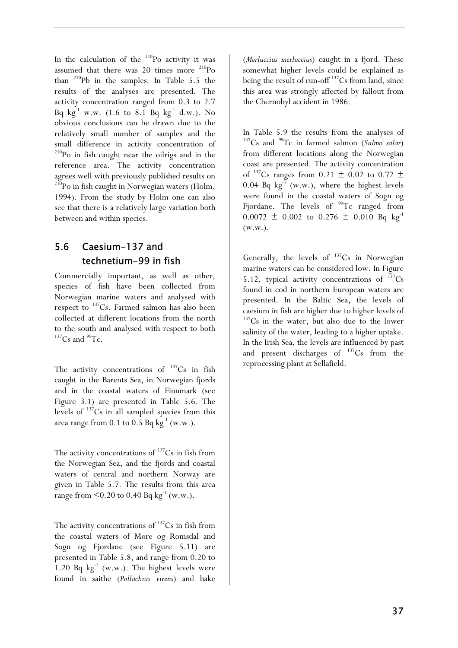In the calculation of the  $210P$ o activity it was assumed that there was  $20$  times more  $^{210}Po$ than 210Pb in the samples. In Table 5.5 the results of the analyses are presented. The activity concentration ranged from 0.3 to 2.7 Bq  $kg^{-1}$  w.w. (1.6 to 8.1 Bq  $kg^{-1}$  d.w.). No obvious conclusions can be drawn due to the relatively small number of samples and the small difference in activity concentration of 210Po in fish caught near the oilrigs and in the reference area. The activity concentration agrees well with previously published results on <sup>210</sup>Po in fish caught in Norwegian waters (Holm, 1994). From the study by Holm one can also see that there is a relatively large variation both between and within species.

# 5.6 Caesium-137 and technetium-99 in fish

Commercially important, as well as other, species of fish have been collected from Norwegian marine waters and analysed with respect to  $137$ Cs. Farmed salmon has also been collected at different locations from the north to the south and analysed with respect to both  $137$ Cs and  $99$ Tc.

The activity concentrations of  $137Cs$  in fish caught in the Barents Sea, in Norwegian fjords and in the coastal waters of Finnmark (see Figure 3.1) are presented in Table 5.6. The levels of  $137$ Cs in all sampled species from this area range from 0.1 to 0.5 Bq  $kg^{-1}$  (w.w.).

The activity concentrations of  $137Cs$  in fish from the Norwegian Sea, and the fjords and coastal waters of central and northern Norway are given in Table 5.7. The results from this area range from  $\leq 0.20$  to 0.40 Bq kg<sup>-1</sup> (w.w.).

The activity concentrations of  $137Cs$  in fish from the coastal waters of Møre og Romsdal and Sogn og Fjordane (see Figure 5.11) are presented in Table 5.8, and range from 0.20 to 1.20 Bq  $kg^{-1}$  (w.w.). The highest levels were found in saithe (*Pollachius virens*) and hake (*Merluccius merluccius*) caught in a fjord. These somewhat higher levels could be explained as being the result of run-off  $^{137}Cs$  from land, since this area was strongly affected by fallout from the Chernobyl accident in 1986.

In Table 5.9 the results from the analyses of <sup>137</sup>Cs and <sup>99</sup>Tc in farmed salmon (*Salmo salar*) from different locations along the Norwegian coast are presented. The activity concentration of  $^{137}Cs$  ranges from 0.21  $\pm$  0.02 to 0.72  $\pm$ 0.04 Bq  $kg^{-1}$  (w.w.), where the highest levels were found in the coastal waters of Sogn og Fjordane. The levels of  $99$ Tc ranged from  $0.0072 \pm 0.002$  to  $0.276 \pm 0.010$  Bq kg<sup>-1</sup> (w.w.).

Generally, the levels of  $137Cs$  in Norwegian marine waters can be considered low. In Figure 5.12, typical activity concentrations of  $137Cs$ found in cod in northern European waters are presented. In the Baltic Sea, the levels of caesium in fish are higher due to higher levels of <sup>137</sup>Cs in the water, but also due to the lower salinity of the water, leading to a higher uptake. In the Irish Sea, the levels are influenced by past and present discharges of  $137Cs$  from the reprocessing plant at Sellafield.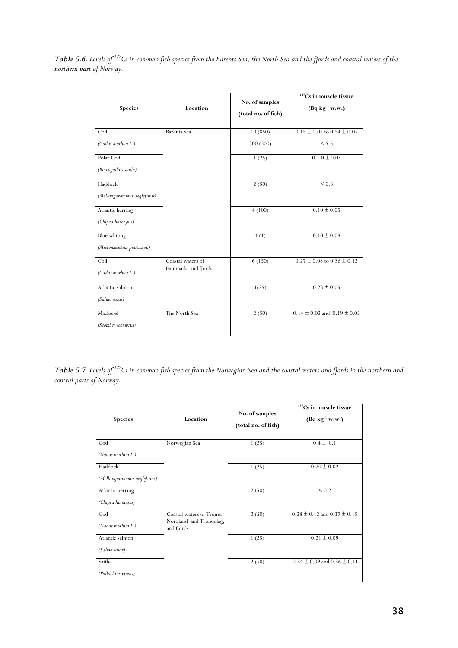| Table 5.6. Levels of <sup>137</sup> Cs in common fish species from the Barents Sea, the North Sea and the fjords and coastal waters of the |  |  |  |  |
|--------------------------------------------------------------------------------------------------------------------------------------------|--|--|--|--|
| northern part of Norway.                                                                                                                   |  |  |  |  |

| Species                     | Location             | No. of samples<br>(total no. of fish) | $137$ Cs in muscle tissue<br>$(Bq kg^{-1} w.w.)$ |
|-----------------------------|----------------------|---------------------------------------|--------------------------------------------------|
| Cod                         | <b>Barents</b> Sea   | 10(850)                               | $0.15 \pm 0.02$ to $0.54 \pm 0.05$               |
| (Gadus morhua L.)           |                      | 300 (300)                             | < 5.5                                            |
| Polar Cod                   |                      | 1(25)                                 | $0.10 \pm 0.03$                                  |
| (Boreogaduss saida)         |                      |                                       |                                                  |
| Haddock                     |                      | 2(50)                                 | $\leq 0.3$                                       |
| (Mellangorammus aeglefinus) |                      |                                       |                                                  |
| Atlantic herring            |                      | 4(100)                                | $0.10 \pm 0.05$                                  |
| (Clupea harengus)           |                      |                                       |                                                  |
| Blue whiting                |                      | 1(1)                                  | $0.10 \pm 0.08$                                  |
| (Micromesistius poutassou)  |                      |                                       |                                                  |
| Cod                         | Coastal waters of    | 6(150)                                | $0.27 \pm 0.08$ to $0.36 \pm 0.12$               |
| (Gadus morhua L.)           | Finnmark, and fjords |                                       |                                                  |
| Atlantic salmon             |                      | 1(25)                                 | $0.23 \pm 0.05$                                  |
| (Salmo salar)               |                      |                                       |                                                  |
| Mackerel                    | The North Sea        | 2(50)                                 | $0.14 \pm 0.02$ and $0.19 \pm 0.02$              |
| (Scomber scombrus)          |                      |                                       |                                                  |

*Table 5.7. Levels of 137Cs in common fish species from the Norwegian Sea and the coastal waters and fjords in the northern and central parts of Norway.*

| <b>Species</b>              | Location                              | No. of samples<br>(total no. of fish) | $137$ Cs in muscle tissue<br>$(Bq kg^{-1} w.w.)$ |
|-----------------------------|---------------------------------------|---------------------------------------|--------------------------------------------------|
| Cod                         | Norwegian Sea                         | 1(25)                                 | $0.4 \pm 0.1$                                    |
| (Gadus morhua L.)           |                                       |                                       |                                                  |
| Haddock                     |                                       | 1(25)                                 | $0.20 \pm 0.02$                                  |
| (Mellangorammus aeglefinus) |                                       |                                       |                                                  |
| Atlantic herring            |                                       | 2(50)                                 | ${}_{0.2}$                                       |
| (Clupea harengus)           |                                       |                                       |                                                  |
| $\mathrm{Cod}$              | Coastal waters of Troms,              | 2(50)                                 | $0.28 \pm 0.12$ and $0.37 \pm 0.15$              |
| (Gadus morhua L.)           | Nordland and Trøndelag,<br>and fjords |                                       |                                                  |
| Atlantic salmon             |                                       | 1(25)                                 | $0.21 \pm 0.09$                                  |
| (Salmo salar)               |                                       |                                       |                                                  |
| Saithe                      |                                       | 2(50)                                 | $0.34 \pm 0.09$ and $0.36 \pm 0.11$              |
| (Pollachius virens)         |                                       |                                       |                                                  |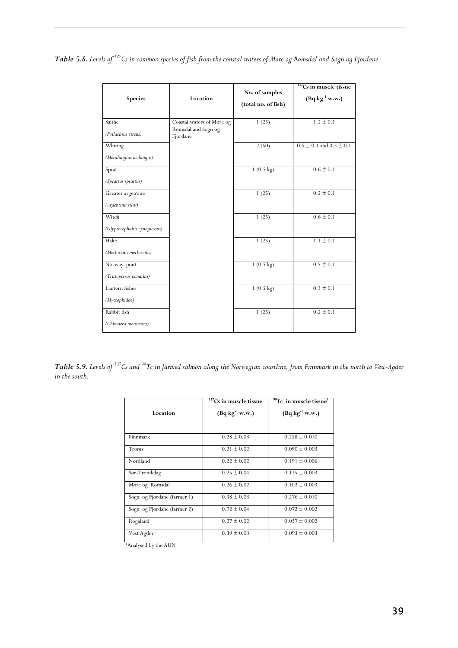*Table 5.8. Levels of 137Cs in common species of fish from the coastal waters of Møre og Romsdal and Sogn og Fjordane.* 

| Species                                   | Location                                                     | No. of samples      | $137$ Cs in muscle tissue<br>$(Bq kg^{-1} w.w.)$ |
|-------------------------------------------|--------------------------------------------------------------|---------------------|--------------------------------------------------|
|                                           |                                                              | (total no. of fish) |                                                  |
| Saithe<br>(Pollachius virens)             | Coastal waters of Møre og<br>Romsdal and Sogn og<br>Fjordane | 1(25)               | $1.2 \pm 0.1$                                    |
| Whiting                                   |                                                              | 2(50)               | $0.5 \pm 0.1$ and $0.5 \pm 0.1$                  |
| (Meralangius melangus)<br>Sprat           |                                                              | $1(0.5 \text{ kg})$ | $0.6 \pm 0.1$                                    |
| (Sprattus sprattus)                       |                                                              |                     |                                                  |
| Greater argentine<br>(Argentina silus)    |                                                              | 1(25)               | $0.2 \pm 0.1$                                    |
| Witch                                     |                                                              | 1(25)               | $0.6 \pm 0.1$                                    |
| (Glyptocephalus cynoglossus)<br>Hake      |                                                              | 1(25)               | $1.1 \pm 0.1$                                    |
| (Merluccius merluccius)                   |                                                              |                     |                                                  |
| Norway pout                               |                                                              | $1(0.5 \text{ kg})$ | $0.5 \pm 0.1$                                    |
| (Tristopterus esmarkii)<br>Lantern fishes |                                                              | $1(0.5 \text{ kg})$ | $0.3 \pm 0.1$                                    |
| (Myctophidae)                             |                                                              |                     |                                                  |
| Rabbit fish<br>(Chimaera monstrosa)       |                                                              | 1(25)               | $0.2 \pm 0.1$                                    |

*Table 5.9. Levels of 137Cs and 99Tc in farmed salmon along the Norwegian coastline, from Finnmark in the north to Vest-Agder in the south.* 

|                                  | $137$ Cs in muscle tissue | $^{99}$ Tc in muscle tissue <sup>1</sup> |
|----------------------------------|---------------------------|------------------------------------------|
| Location                         | $(Bq kg^{-1} w.w.)$       | $(Bq kg^{-1} w.w.)$                      |
|                                  |                           |                                          |
| Finnmark                         | $0.28 \pm 0.03$           | $0.258 \pm 0.010$                        |
| Troms                            | $0.21 \pm 0.02$           | $0.090 \pm 0.003$                        |
| Nordland                         | $0.22 \pm 0.02$           | $0.191 \pm 0.006$                        |
| Sør-Trondelag                    | $0.25 \pm 0.04$           | $0.115 \pm 0.003$                        |
| Møre og Romsdal                  | $0.26 \pm 0.02$           | $0.102 \pm 0.003$                        |
| Sogn og Fjordane (farmer 1)      | $0.38 \pm 0.03$           | $0.276 \pm 0.010$                        |
| Sogn og Fjordane (farmer 2)      | $0.72 \pm 0.04$           | $0.072 \pm 0.002$                        |
| Rogaland                         | $0.27 \pm 0.02$           | $0.037 \pm 0.002$                        |
| Vest Agder                       | $0.39 \pm 0.03$           | $0.093 \pm 0.003$                        |
| <sup>1</sup> Analysed by the AUN |                           |                                          |

Analysed by the AUN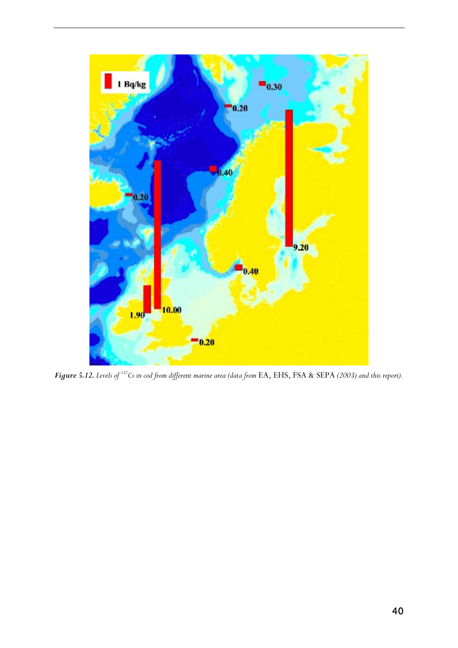

*Figure 5.12. Levels of 137Cs in cod from different marine area (data from* EA, EHS, FSA & SEPA *(2003) and this report).*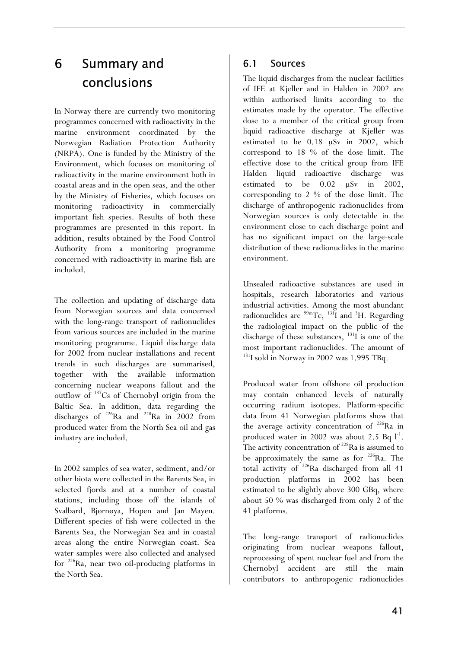# 6 Summary and conclusions conclusions

In Norway there are currently two monitoring programmes concerned with radioactivity in the marine environment coordinated by the Norwegian Radiation Protection Authority (NRPA). One is funded by the Ministry of the Environment, which focuses on monitoring of radioactivity in the marine environment both in coastal areas and in the open seas, and the other by the Ministry of Fisheries, which focuses on monitoring radioactivity in commercially important fish species. Results of both these programmes are presented in this report. In addition, results obtained by the Food Control Authority from a monitoring programme concerned with radioactivity in marine fish are included.

The collection and updating of discharge data from Norwegian sources and data concerned with the long-range transport of radionuclides from various sources are included in the marine monitoring programme. Liquid discharge data for 2002 from nuclear installations and recent trends in such discharges are summarised, together with the available information concerning nuclear weapons fallout and the outflow of 137Cs of Chernobyl origin from the Baltic Sea. In addition, data regarding the discharges of  $^{226}$ Ra and  $^{228}$ Ra in 2002 from produced water from the North Sea oil and gas industry are included.

In 2002 samples of sea water, sediment, and/or other biota were collected in the Barents Sea, in selected fjords and at a number of coastal stations, including those off the islands of Svalbard, Bjørnøya, Hopen and Jan Mayen. Different species of fish were collected in the Barents Sea, the Norwegian Sea and in coastal areas along the entire Norwegian coast. Sea water samples were also collected and analysed for 226Ra, near two oil-producing platforms in the North Sea.

# 6.1 Sources

The liquid discharges from the nuclear facilities of IFE at Kjeller and in Halden in 2002 are within authorised limits according to the estimates made by the operator. The effective dose to a member of the critical group from liquid radioactive discharge at Kjeller was estimated to be 0.18 µSv in 2002, which correspond to 18 % of the dose limit. The effective dose to the critical group from IFE Halden liquid radioactive discharge was estimated to be 0.02 µSv in 2002, corresponding to 2 % of the dose limit. The discharge of anthropogenic radionuclides from Norwegian sources is only detectable in the environment close to each discharge point and has no significant impact on the large-scale distribution of these radionuclides in the marine environment.

Unsealed radioactive substances are used in hospitals, research laboratories and various industrial activities. Among the most abundant radionuclides are  $\frac{99 \text{m}}{\text{TC}}$ ,  $\frac{131 \text{ J}}{\text{I}}$  and  $\frac{31 \text{ H}}{\text{H}}$ . Regarding the radiological impact on the public of the discharge of these substances,  $^{131}I$  is one of the most important radionuclides. The amount of <sup>131</sup>I sold in Norway in 2002 was 1.995 TBq.

Produced water from offshore oil production may contain enhanced levels of naturally occurring radium isotopes. Platform-specific data from 41 Norwegian platforms show that the average activity concentration of <sup>226</sup>Ra in produced water in 2002 was about 2.5 Bq  $l^{-1}$ . The activity concentration of  $^{228}$ Ra is assumed to be approximately the same as for  $226$ Ra. The total activity of <sup>226</sup>Ra discharged from all 41 production platforms in 2002 has been estimated to be slightly above 300 GBq, where about 50 % was discharged from only 2 of the 41 platforms.

The long-range transport of radionuclides originating from nuclear weapons fallout, reprocessing of spent nuclear fuel and from the Chernobyl accident are still the main contributors to anthropogenic radionuclides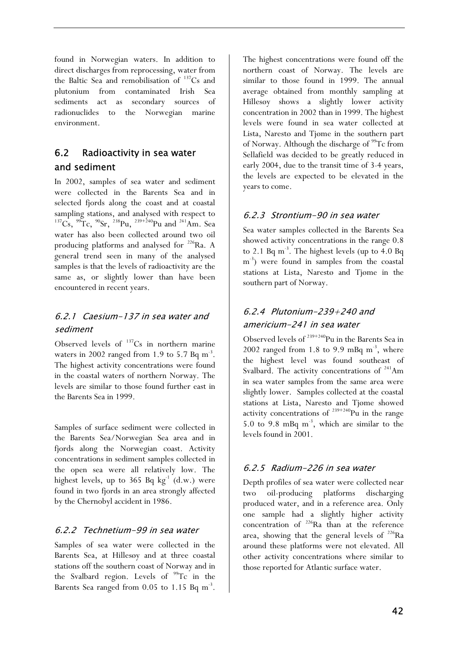found in Norwegian waters. In addition to direct discharges from reprocessing, water from the Baltic Sea and remobilisation of  $137Cs$  and plutonium from contaminated Irish Sea sediments act as secondary sources of radionuclides to the Norwegian marine environment.

# 6.2 Radioactivity in sea water and sediment

In 2002, samples of sea water and sediment were collected in the Barents Sea and in selected fjords along the coast and at coastal sampling stations, and analysed with respect to  $137C_s$ ,  $99T_c$ ,  $90Sr$ ,  $238Pu$ ,  $239+240Pu$  and  $241Am$ . Sea water has also been collected around two oil producing platforms and analysed for 226Ra. A general trend seen in many of the analysed samples is that the levels of radioactivity are the same as, or slightly lower than have been encountered in recent years.

# 6.2.1 Caesium-137 in sea water and sediment

Observed levels of  $137$ Cs in northern marine waters in 2002 ranged from 1.9 to 5.7 Bq  $m<sup>-3</sup>$ . The highest activity concentrations were found in the coastal waters of northern Norway. The levels are similar to those found further east in the Barents Sea in 1999.

Samples of surface sediment were collected in the Barents Sea/Norwegian Sea area and in fjords along the Norwegian coast. Activity concentrations in sediment samples collected in the open sea were all relatively low. The highest levels, up to 365 Bq  $kg^{-1}$  (d.w.) were found in two fjords in an area strongly affected by the Chernobyl accident in 1986.

### 6.2.2 Technetium-99 in sea water

Samples of sea water were collected in the Barents Sea, at Hillesøy and at three coastal stations off the southern coast of Norway and in the Svalbard region. Levels of  $99Tc$  in the Barents Sea ranged from  $0.05$  to 1.15 Bq m<sup>-3</sup>.

The highest concentrations were found off the northern coast of Norway. The levels are similar to those found in 1999. The annual average obtained from monthly sampling at Hillesøy shows a slightly lower activity concentration in 2002 than in 1999. The highest levels were found in sea water collected at Lista, Narestø and Tjøme in the southern part of Norway. Although the discharge of <sup>99</sup>Tc from Sellafield was decided to be greatly reduced in early 2004, due to the transit time of 3-4 years, the levels are expected to be elevated in the years to come.

### 6.2.3 Strontium-90 in sea water

Sea water samples collected in the Barents Sea showed activity concentrations in the range 0.8 to 2.1 Bq  $m^{-3}$ . The highest levels (up to 4.0 Bq m<sup>-3</sup>) were found in samples from the coastal stations at Lista, Narestø and Tjøme in the southern part of Norway.

# 6.2.4 Plutonium-239+240 and americium-241 in sea water

Observed levels of  $239+240$ Pu in the Barents Sea in 2002 ranged from 1.8 to 9.9 mBq  $m<sup>-3</sup>$ , where the highest level was found southeast of Svalbard. The activity concentrations of  $241$ Am in sea water samples from the same area were slightly lower. Samples collected at the coastal stations at Lista, Narestø and Tjøme showed activity concentrations of  $239+240$ Pu in the range 5.0 to 9.8 mBq m-3, which are similar to the levels found in 2001.

### 6.2.5 Radium-226 in sea water

Depth profiles of sea water were collected near two oil-producing platforms discharging produced water, and in a reference area. Only one sample had a slightly higher activity concentration of <sup>226</sup>Ra than at the reference area, showing that the general levels of  $^{226}Ra$ around these platforms were not elevated. All other activity concentrations where similar to those reported for Atlantic surface water.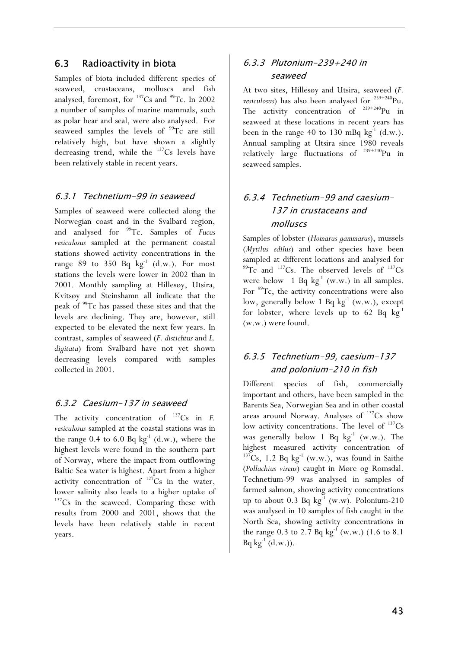### 6.3 Radioactivity in biota

Samples of biota included different species of seaweed, crustaceans, molluscs and fish analysed, foremost, for  $137Cs$  and  $99Tc$ . In 2002 a number of samples of marine mammals, such as polar bear and seal, were also analysed. For seaweed samples the levels of  $99Tc$  are still relatively high, but have shown a slightly decreasing trend, while the  $137Cs$  levels have been relatively stable in recent years.

#### 6.3.1 Technetium-99 in seaweed

Samples of seaweed were collected along the Norwegian coast and in the Svalbard region, and analysed for 99Tc. Samples of *Fucus vesiculosus* sampled at the permanent coastal stations showed activity concentrations in the range 89 to 350 Bq  $kg^{-1}$  (d.w.). For most stations the levels were lower in 2002 than in 2001. Monthly sampling at Hillesøy, Utsira, Kvitsøy and Steinshamn all indicate that the peak of 99Tc has passed these sites and that the levels are declining. They are, however, still expected to be elevated the next few years. In contrast, samples of seaweed (*F. distichtus* and *L. digitata*) from Svalbard have not yet shown decreasing levels compared with samples collected in 2001.

### 6.3.2 Caesium-137 in seaweed

The activity concentration of  $137Cs$  in *F*. *vesiculosus* sampled at the coastal stations was in the range 0.4 to 6.0 Bq  $kg<sup>-1</sup>$  (d.w.), where the highest levels were found in the southern part of Norway, where the impact from outflowing Baltic Sea water is highest. Apart from a higher activity concentration of  $^{127}Cs$  in the water, lower salinity also leads to a higher uptake of  $137Cs$  in the seaweed. Comparing these with results from 2000 and 2001, shows that the levels have been relatively stable in recent years.

### 6.3.3 Plutonium-239+240 in seaweed

At two sites, Hillesøy and Utsira, seaweed (*F. vesiculosus*) has also been analysed for <sup>239+240</sup>Pu. The activity concentration of  $239+240$ Pu in seaweed at these locations in recent years has been in the range 40 to 130 mBq  $kg^{-1}$  (d.w.). Annual sampling at Utsira since 1980 reveals relatively large fluctuations of 239+240Pu in seaweed samples.

# 6.3.4 Technetium-99 and caesium-137 in crustaceans and molluscs

Samples of lobster (*Homarus gammarus*), mussels (*Mytilus edilus*) and other species have been sampled at different locations and analysed for  $^{99}$ Tc and  $^{137}$ Cs. The observed levels of  $^{137}$ Cs were below 1 Bq  $kg^{-1}$  (w.w.) in all samples. For <sup>99</sup>Tc, the activity concentrations were also low, generally below 1 Bq  $kg^{-1}$  (w.w.), except for lobster, where levels up to 62 Bq  $kg^{-1}$ (w.w.) were found.

## 6.3.5 Technetium-99, caesium-137 and polonium-210 in fish

Different species of fish, commercially important and others, have been sampled in the Barents Sea, Norwegian Sea and in other coastal areas around Norway. Analyses of  $137Cs$  show low activity concentrations. The level of  $137Cs$ was generally below 1 Bq  $kg^{-1}$  (w.w.). The highest measured activity concentration of  $137Cs$ , 1.2 Bq kg<sup>-1</sup> (w.w.), was found in Saithe (*Pollachius virens*) caught in Møre og Romsdal. Technetium-99 was analysed in samples of farmed salmon, showing activity concentrations up to about 0.3 Bq  $kg^{-1}$  (w.w). Polonium-210 was analysed in 10 samples of fish caught in the North Sea, showing activity concentrations in the range 0.3 to 2.7 Bq  $kg^{-1}$  (w.w.) (1.6 to 8.1)  $Bq kg^{-1} (d.w.)).$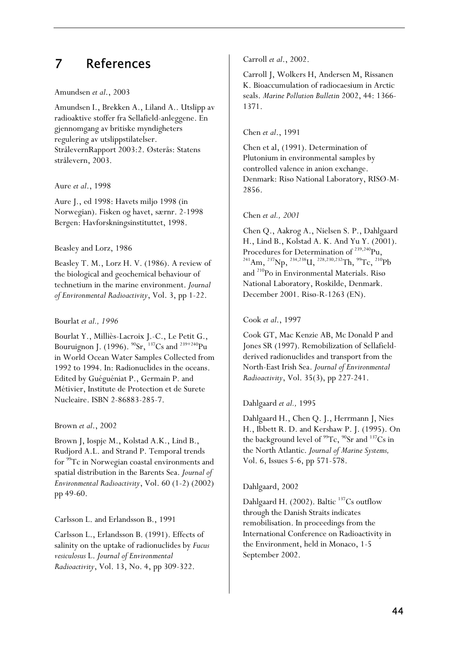# 7 References

#### Amundsen *et al*., 2003

Amundsen I., Brekken A., Liland A.. Utslipp av radioaktive stoffer fra Sellafield-anleggene. En gjennomgang av britiske myndigheters regulering av utslippstilatelser. StrålevernRapport 2003:2. Østerås: Statens strålevern, 2003.

#### Aure *et al*., 1998

Aure J., ed 1998: Havets miljø 1998 (in Norwegian). Fisken og havet, særnr. 2-1998 Bergen: Havforskningsinstituttet, 1998.

#### Beasley and Lorz, 1986

Beasley T. M., Lorz H. V. (1986). A review of the biological and geochemical behaviour of technetium in the marine environment. *Journal of Environmental Radioactivity*, Vol. 3, pp 1-22.

#### Bourlat *et al., 1996*

Bourlat Y., Milliès-Lacroix J.-C., Le Petit G., Bouruignon J. (1996).  $^{90}Sr$ ,  $^{137}Cs$  and  $^{239+240}Pu$ in World Ocean Water Samples Collected from 1992 to 1994. In: Radionuclides in the oceans. Edited by Guéguéniat P., Germain P. and Métivier, Institute de Protection et de Surete Nucleaire. ISBN 2-86883-285-7.

#### Brown *et al*., 2002

Brown J, Iospje M., Kolstad A.K., Lind B., Rudjord A.L. and Strand P. Temporal trends for 99Tc in Norwegian coastal environments and spatial distribution in the Barents Sea. *Journal of Environmental Radioactivity*, Vol. 60 (1-2) (2002) pp 49-60.

Carlsson L. and Erlandsson B., 1991

Carlsson L., Erlandsson B. (1991). Effects of salinity on the uptake of radionuclides by *Fucus vesiculosus* L. *Journal of Environmental Radioactivity*, Vol. 13, No. 4, pp 309-322.

Carroll *et al*., 2002.

Carroll J, Wolkers H, Andersen M, Rissanen K. Bioaccumulation of radiocaesium in Arctic seals. *Marine Pollution Bulletin* 2002, 44: 1366- 1371.

#### Chen *et al*., 1991

Chen et al, (1991). Determination of Plutonium in environmental samples by controlled valence in anion exchange. Denmark: Risø National Laboratory, RISØ-M-2856.

#### Chen *et al., 2001*

Chen Q., Aakrog A., Nielsen S. P., Dahlgaard H., Lind B., Kolstad A. K. And Yu Y. (2001).<br>Procedures for Determination of <sup>239,240</sup>Pu,  $P^{241}Am$ ,  $P^{237}Np$ ,  $P^{234,238}U$ ,  $P^{228,230,232}Th$ ,  $P^{99}Tc$ ,  $P^{210}Pb$ and 210Po in Environmental Materials. Risø National Laboratory, Roskilde, Denmark. December 2001. Risø-R-1263 (EN).

#### Cook *et al*., 1997

Cook GT, Mac Kenzie AB, Mc Donald P and Jones SR (1997). Remobilization of Sellafieldderived radionuclides and transport from the North-East Irish Sea. *Journal of Environmental Radioactivity*, Vol. 35(3), pp 227-241.

#### Dahlgaard *et al.,* 1995

Dahlgaard H., Chen Q. J., Herrmann J, Nies H., Ibbett R. D. and Kershaw P. J. (1995). On the background level of  $\rm{^{99}Tc}$ ,  $\rm{^{90}Sr}$  and  $\rm{^{137}Cs}$  in the North Atlantic. *Journal of Marine Systems,*  Vol. 6, Issues 5-6, pp 571-578.

#### Dahlgaard, 2002

Dahlgaard H. (2002). Baltic  $137$ Cs outflow through the Danish Straits indicates remobilisation. In proceedings from the International Conference on Radioactivity in the Environment, held in Monaco, 1-5 September 2002.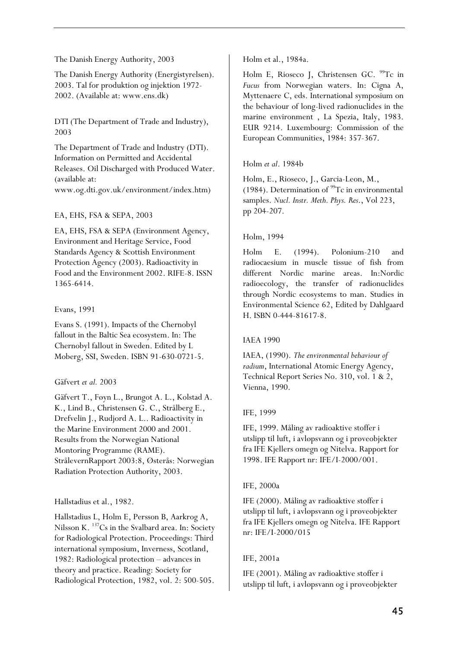#### The Danish Energy Authority, 2003

The Danish Energy Authority (Energistyrelsen). 2003. Tal for produktion og injektion 1972- 2002. (Available at: www.ens.dk)

DTI (The Department of Trade and Industry), 2003

The Department of Trade and Industry (DTI). Information on Permitted and Accidental Releases. Oil Discharged with Produced Water. (available at: www.og.dti.gov.uk/environment/index.htm)

#### EA, EHS, FSA & SEPA, 2003

EA, EHS, FSA & SEPA (Environment Agency, Environment and Heritage Service, Food Standards Agency & Scottish Environment Protection Agency (2003). Radioactivity in Food and the Environment 2002. RIFE-8. ISSN 1365-6414.

#### Evans, 1991

Evans S. (1991). Impacts of the Chernobyl fallout in the Baltic Sea ecosystem. In: The Chernobyl fallout in Sweden. Edited by L Moberg, SSI, Sweden. ISBN 91-630-0721-5.

#### Gäfvert *et al.* 2003

Gäfvert T., Føyn L., Brungot A. L., Kolstad A. K., Lind B., Christensen G. C., Strålberg E., Drefvelin J., Rudjord A. L.. Radioactivity in the Marine Environment 2000 and 2001. Results from the Norwegian National Montoring Programme (RAME). StrålevernRapport 2003:8, Østerås: Norwegian Radiation Protection Authority, 2003.

#### Hallstadius et al., 1982.

Hallstadius L, Holm E, Persson B, Aarkrog A, Nilsson K. 137Cs in the Svalbard area. In: Society for Radiological Protection. Proceedings: Third international symposium, Inverness, Scotland, 1982: Radiological protection – advances in theory and practice. Reading: Society for Radiological Protection, 1982, vol. 2: 500-505.

Holm et al., 1984a.

Holm E, Rioseco J, Christensen GC. <sup>99</sup>Tc in *Fucus* from Norwegian waters. In: Cigna A, Myttenaere C, eds. International symposium on the behaviour of long-lived radionuclides in the marine environment , La Spezia, Italy, 1983. EUR 9214. Luxembourg: Commission of the European Communities, 1984: 357-367.

#### Holm *et al*. 1984b

Holm, E., Rioseco, J., Garcia-Leon, M., (1984). Determination of  $^{99}$ Tc in environmental samples. *Nucl. Instr. Meth. Phys. Res*., Vol 223, pp 204-207.

#### Holm, 1994

Holm E. (1994). Polonium-210 and radiocaesium in muscle tissue of fish from different Nordic marine areas. In:Nordic radioecology, the transfer of radionuclides through Nordic ecosystems to man. Studies in Environmental Science 62, Edited by Dahlgaard H. ISBN 0-444-81617-8.

#### IAEA 1990

IAEA, (1990). *The environmental behaviour of radium*, International Atomic Energy Agency, Technical Report Series No. 310, vol. 1 & 2, Vienna, 1990.

#### IFE, 1999

IFE, 1999. Måling av radioaktive stoffer i utslipp til luft, i avløpsvann og i prøveobjekter fra IFE Kjellers omegn og Nitelva. Rapport for 1998. IFE Rapport nr: IFE/I-2000/001.

#### IFE, 2000a

IFE (2000). Måling av radioaktive stoffer i utslipp til luft, i avløpsvann og i prøveobjekter fra IFE Kjellers omegn og Nitelva. IFE Rapport nr: IFE/I-2000/015

#### IFE, 2001a

IFE (2001). Måling av radioaktive stoffer i utslipp til luft, i avløpsvann og i prøveobjekter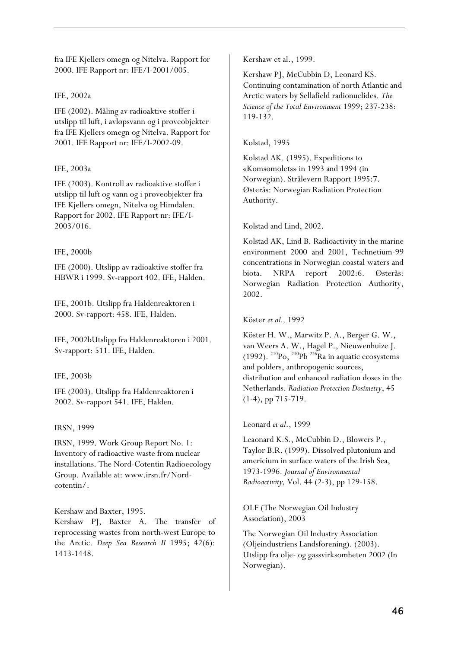fra IFE Kjellers omegn og Nitelva. Rapport for 2000. IFE Rapport nr: IFE/I-2001/005.

#### IFE, 2002a

IFE (2002). Måling av radioaktive stoffer i utslipp til luft, i avløpsvann og i prøveobjekter fra IFE Kjellers omegn og Nitelva. Rapport for 2001. IFE Rapport nr: IFE/I-2002-09.

#### IFE, 2003a

IFE (2003). Kontroll av radioaktive stoffer i utslipp til luft og vann og i prøveobjekter fra IFE Kjellers omegn, Nitelva og Himdalen. Rapport for 2002. IFE Rapport nr: IFE/I-2003/016.

#### IFE, 2000b

IFE (2000). Utslipp av radioaktive stoffer fra HBWR i 1999. Sv-rapport 402. IFE, Halden.

IFE, 2001b. Utslipp fra Haldenreaktoren i 2000. Sv-rapport: 458. IFE, Halden.

IFE, 2002bUtslipp fra Haldenreaktoren i 2001. Sv-rapport: 511. IFE, Halden.

#### IFE, 2003b

IFE (2003). Utslipp fra Haldenreaktoren i 2002. Sv-rapport 541. IFE, Halden.

#### IRSN, 1999

IRSN, 1999. Work Group Report No. 1: Inventory of radioactive waste from nuclear installations. The Nord-Cotentin Radioecology Group. Available at: www.irsn.fr/Nordcotentin/.

Kershaw and Baxter, 1995. Kershaw PJ, Baxter A. The transfer of reprocessing wastes from north-west Europe to the Arctic. *Deep Sea Research II* 1995; 42(6): 1413-1448.

Kershaw et al., 1999.

Kershaw PJ, McCubbin D, Leonard KS. Continuing contamination of north Atlantic and Arctic waters by Sellafield radionuclides. *The Science of the Total Environment* 1999; 237-238: 119-132.

#### Kolstad, 1995

Kolstad AK. (1995). Expeditions to «Komsomolets» in 1993 and 1994 (in Norwegian). Strålevern Rapport 1995:7. Østerås: Norwegian Radiation Protection Authority.

Kolstad and Lind, 2002.

Kolstad AK, Lind B. Radioactivity in the marine environment 2000 and 2001, Technetium-99 concentrations in Norwegian coastal waters and biota. NRPA report 2002:6. Østerås: Norwegian Radiation Protection Authority, 2002.

#### Köster *et al.,* 1992

Köster H. W., Marwitz P. A., Berger G. W., van Weers A. W., Hagel P., Nieuwenhuize J. (1992). <sup>210</sup>Po, <sup>210</sup>Pb <sup>226</sup>Ra in aquatic ecosystems and polders, anthropogenic sources, distribution and enhanced radiation doses in the Netherlands. *Radiation Protection Dosimetry*, 45 (1-4), pp 715-719.

#### Leonard *et al*., 1999

Leaonard K.S., McCubbin D., Blowers P., Taylor B.R. (1999). Dissolved plutonium and americium in surface waters of the Irish Sea, 1973-1996. *Journal of Environmental Radioactivity,* Vol. 44 (2-3), pp 129-158.

OLF (The Norwegian Oil Industry Association), 2003

The Norwegian Oil Industry Association (Oljeindustriens Landsforening). (2003). Utslipp fra olje- og gassvirksomheten 2002 (In Norwegian).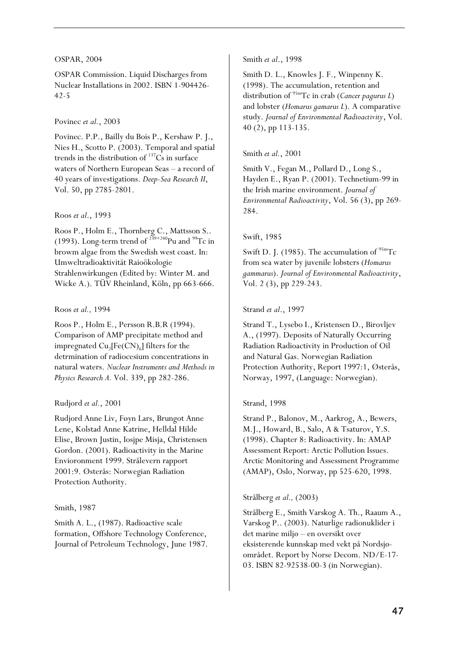#### OSPAR, 2004

OSPAR Commission. Liquid Discharges from Nuclear Installations in 2002. ISBN 1-904426- 42-5

#### Povinec *et al.*, 2003

Povinec. P.P., Bailly du Bois P., Kershaw P. J., Nies H., Scotto P. (2003). Temporal and spatial trends in the distribution of  $137$ Cs in surface waters of Northern European Seas – a record of 40 years of investigations. *Deep-Sea Research II*, Vol. 50, pp 2785-2801.

#### Roos *et al*., 1993

Roos P., Holm E., Thornberg C., Mattsson S.. (1993). Long-term trend of  $^{239+240}$ Pu and  $^{99}$ Tc in browm algae from the Swedish west coast. In: Umweltradioaktivität Raioökologie Strahlenwirkungen (Edited by: Winter M. and Wicke A.). TÜV Rheinland, Köln, pp 663-666.

#### Roos *et al.,* 1994

Roos P., Holm E., Persson R.B.R (1994). Comparison of AMP precipitate method and impregnated  $Cu<sub>2</sub>[Fe(CN)<sub>6</sub>]$  filters for the detrmination of radiocesium concentrations in natural waters. *Nuclear Instruments and Methods in Physics Research A.* Vol. 339, pp 282-286.

#### Rudjord *et al.*, 2001

Rudjord Anne Liv, Føyn Lars, Brungot Anne Lene, Kolstad Anne Katrine, Helldal Hilde Elise, Brown Justin, Iosjpe Misja, Christensen Gordon. (2001). Radioactivity in the Marine Envioronment 1999. Strålevern rapport 2001:9. Østerås: Norwegian Radiation Protection Authority.

#### Smith, 1987

Smith A. L., (1987). Radioactive scale formation, Offshore Technology Conference, Journal of Petroleum Technology, June 1987.

#### Smith *et al*., 1998

Smith D. L., Knowles J. F., Winpenny K. (1998). The accumulation, retention and distribution of 95mTc in crab (*Cancer pagurus L*) and lobster (*Homarus gamarus L*). A comparative study. *Journal of Environmental Radioactivity*, Vol. 40 (2), pp 113-135.

#### Smith *et al.*, 2001

Smith V., Fegan M., Pollard D., Long S., Hayden E., Ryan P. (2001). Technetium-99 in the Irish marine environment. *Journal of Environmental Radioactivity*, Vol. 56 (3), pp 269- 284.

#### Swift, 1985

Swift D. J. (1985). The accumulation of  $95m$ Tc from sea water by juvenile lobsters (*Homarus gammarus*). *Journal of Environmental Radioactivity*, Vol. 2 (3), pp 229-243.

#### Strand *et al*., 1997

Strand T., Lysebo I., Kristensen D., Birovljev A., (1997). Deposits of Naturally Occurring Radiation Radioactivity in Production of Oil and Natural Gas. Norwegian Radiation Protection Authority, Report 1997:1, Østerås, Norway, 1997, (Language: Norwegian).

#### Strand, 1998

Strand P., Balonov, M., Aarkrog, A., Bewers, M.J., Howard, B., Salo, A & Tsaturov, Y.S. (1998). Chapter 8: Radioactivity. In: AMAP Assessment Report: Arctic Pollution Issues. Arctic Monitoring and Assessment Programme (AMAP), Oslo, Norway, pp 525-620, 1998.

#### Strålberg *et al.,* (2003)

Strålberg E., Smith Varskog A. Th., Raaum A., Varskog P.. (2003). Naturlige radionuklider i det marine miljø – en oversikt over eksisterende kunnskap med vekt på Nordsjøområdet. Report by Norse Decom. ND/E-17- 03. ISBN 82-92538-00-3 (in Norwegian).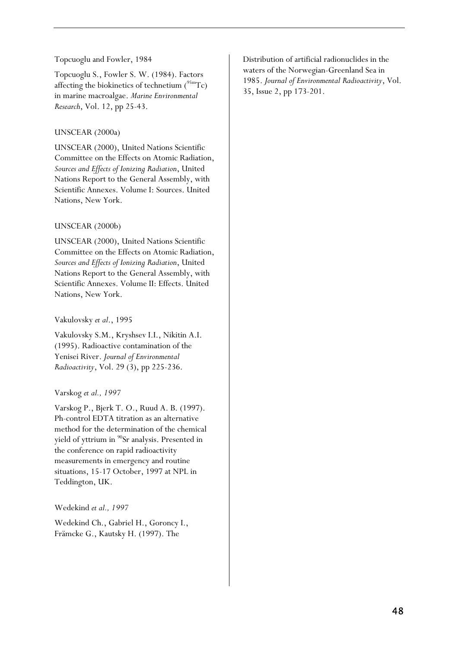#### Topcuoglu and Fowler, 1984

Topcuoglu S., Fowler S. W. (1984). Factors affecting the biokinetics of technetium  $(^{95m}Tc)$ in marine macroalgae. *Marine Environmental Research*, Vol. 12, pp 25-43.

#### UNSCEAR (2000a)

UNSCEAR (2000), United Nations Scientific Committee on the Effects on Atomic Radiation, *Sources and Effects of Ionizing Radiation*, United Nations Report to the General Assembly, with Scientific Annexes. Volume I: Sources. United Nations, New York.

#### UNSCEAR (2000b)

UNSCEAR (2000), United Nations Scientific Committee on the Effects on Atomic Radiation, *Sources and Effects of Ionizing Radiation*, United Nations Report to the General Assembly, with Scientific Annexes. Volume II: Effects. United Nations, New York.

#### Vakulovsky *et al*., 1995

Vakulovsky S.M., Kryshsev I.I., Nikitin A.I. (1995). Radioactive contamination of the Yenisei River. *Journal of Environmental Radioactivity*, Vol. 29 (3), pp 225-236.

#### Varskog *et al., 1997*

Varskog P., Bjerk T. O., Ruud A. B. (1997). Ph-control EDTA titration as an alternative method for the determination of the chemical yield of yttrium in <sup>90</sup>Sr analysis. Presented in the conference on rapid radioactivity measurements in emergency and routine situations, 15-17 October, 1997 at NPL in Teddington, UK.

Wedekind *et al., 1997* 

Wedekind Ch., Gabriel H., Goroncy I., Främcke G., Kautsky H. (1997). The

Distribution of artificial radionuclides in the waters of the Norwegian-Greenland Sea in 1985. *Journal of Environmental Radioactivity*, Vol. 35, Issue 2, pp 173-201.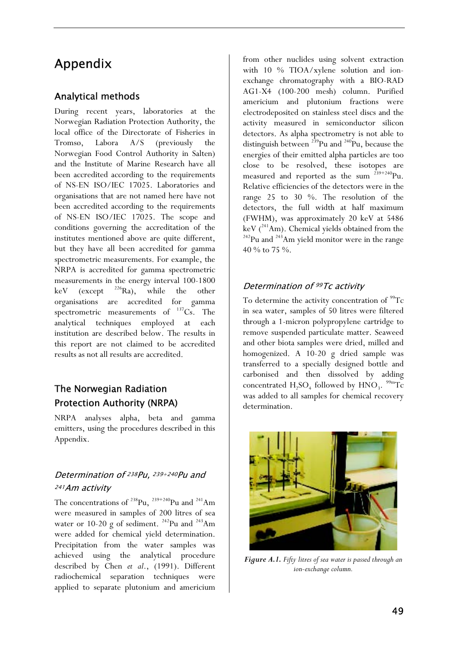# Appendix

## Analytical methods

During recent years, laboratories at the Norwegian Radiation Protection Authority, the local office of the Directorate of Fisheries in Tromsø, Labora A/S (previously the Norwegian Food Control Authority in Salten) and the Institute of Marine Research have all been accredited according to the requirements of NS-EN ISO/IEC 17025. Laboratories and organisations that are not named here have not been accredited according to the requirements of NS-EN ISO/IEC 17025. The scope and conditions governing the accreditation of the institutes mentioned above are quite different, but they have all been accredited for gamma spectrometric measurements. For example, the NRPA is accredited for gamma spectrometric measurements in the energy interval 100-1800 keV (except  $^{226}$ Ra), while the other organisations are accredited for gamma spectrometric measurements of  $137$ Cs. The analytical techniques employed at each institution are described below. The results in this report are not claimed to be accredited results as not all results are accredited.

# The Norwegian Radiation Protection Authority (NRPA)

NRPA analyses alpha, beta and gamma emitters, using the procedures described in this Appendix.

## Determination of <sup>238</sup>Pu, <sup>239+240</sup>Pu and <sup>241</sup>Am activity

The concentrations of  $^{238}$ Pu,  $^{239+240}$ Pu and  $^{241}$ Am were measured in samples of 200 litres of sea water or 10-20 g of sediment.  $242$ Pu and  $243$ Am were added for chemical yield determination. Precipitation from the water samples was achieved using the analytical procedure described by Chen *et al*., (1991). Different radiochemical separation techniques were applied to separate plutonium and americium from other nuclides using solvent extraction with 10 % TIOA/xylene solution and ionexchange chromatography with a BIO-RAD AG1-X4 (100-200 mesh) column. Purified americium and plutonium fractions were electrodeposited on stainless steel discs and the activity measured in semiconductor silicon detectors. As alpha spectrometry is not able to distinguish between  $^{239}$ Pu and  $^{240}$ Pu, because the energies of their emitted alpha particles are too close to be resolved, these isotopes are measured and reported as the sum  $239+240$ Pu. Relative efficiencies of the detectors were in the range 25 to 30 %. The resolution of the detectors, the full width at half maximum (FWHM), was approximately 20 keV at 5486 keV ( $^{241}$ Am). Chemical yields obtained from the  $^{242}$ Pu and  $^{243}$ Am yield monitor were in the range 40 % to 75 %.

## Determination of 99Tc activity

To determine the activity concentration of  $\rm{^{99}Tc}$ in sea water, samples of 50 litres were filtered through a 1-micron polypropylene cartridge to remove suspended particulate matter. Seaweed and other biota samples were dried, milled and homogenized. A 10-20 g dried sample was transferred to a specially designed bottle and carbonised and then dissolved by adding concentrated  $H_2SO_4$  followed by  $HNO_3$ . <sup>99m</sup>Tc was added to all samples for chemical recovery determination.



*Figure A.1. Fifty litres of sea water is passed through an ion-exchange column.*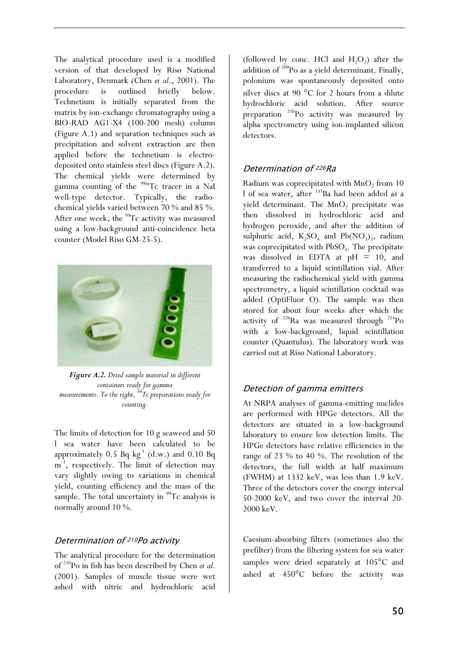The analytical procedure used is a modified version of that developed by Risø National Laboratory, Denmark (Chen *et al*., 2001). The procedure is outlined briefly below. Technetium is initially separated from the matrix by ion-exchange chromatography using a BIO-RAD AG1-X4 (100-200 mesh) column (Figure A.1) and separation techniques such as precipitation and solvent extraction are then applied before the technetium is electrodeposited onto stainless steel discs (Figure A.2). The chemical yields were determined by gamma counting of the <sup>99m</sup>Tc tracer in a NaI well-type detector. Typically, the radiochemical yields varied between 70 % and 85 %. After one week, the  $99$ Tc activity was measured using a low-background anti-coincidence beta counter (Model Risø GM-25-5).



*Figure A.2. Dried sample material in different containers ready for gamma measurements. To the right, 99Tc preparations ready for counting.*

The limits of detection for 10 g seaweed and 50 l sea water have been calculated to be approximately 0.5 Bq  $kg^{-1}$  (d.w.) and 0.10 Bq m<sup>-3</sup>, respectively. The limit of detection may vary slightly owing to variations in chemical yield, counting efficiency and the mass of the sample. The total uncertainty in <sup>99</sup>Tc analysis is normally around 10 %.

### Determination of 210Po activity

The analytical procedure for the determination of 210Po in fish has been described by Chen *et al.*  (2001). Samples of muscle tissue were wet ashed with nitric and hydrochloric acid

(followed by conc. HCl and  $H_2O_2$ ) after the addition of  $209$ Po as a yield determinant. Finally, polonium was spontaneously deposited onto silver discs at 90  $^{\circ}$ C for 2 hours from a dilute hydrochloric acid solution. After source preparation  $^{210}$ Po activity was measured by alpha spectrometry using ion-implanted silicon detectors.

### Determination of 226Ra

Radium was coprecipitated with MnO<sub>2</sub> from 10 l of sea water, after <sup>133</sup>Ba had been added as a yield determinant. The MnO<sub>2</sub> precipitate was then dissolved in hydrochloric acid and hydrogen peroxide, and after the addition of sulphuric acid,  $K_2SO_4$  and  $Pb(NO_3)_2$ , radium was coprecipitated with PbSO<sub>4</sub>. The precipitate was dissolved in EDTA at  $pH = 10$ , and transferred to a liquid scintillation vial. After measuring the radiochemical yield with gamma spectrometry, a liquid scintillation cocktail was added (OptiFluor O). The sample was then stored for about four weeks after which the activity of  $226$ Ra was measured through  $214$ Po with a low-background, liquid scintillation counter (Quantulus). The laboratory work was carried out at Risø National Laboratory.

### Detection of gamma emitters

At NRPA analyses of gamma-emitting nuclides are performed with HPGe detectors. All the detectors are situated in a low-background laboratory to ensure low detection limits. The HPGe detectors have relative efficiencies in the range of 23 % to 40 %. The resolution of the detectors, the full width at half maximum (FWHM) at 1332 keV, was less than 1.9 keV. Three of the detectors cover the energy interval 50-2000 keV, and two cover the interval 20- 2000 keV.

Caesium-absorbing filters (sometimes also the prefilter) from the filtering system for sea water samples were dried separately at  $105^{\circ}$ C and ashed at  $450^{\circ}$ C before the activity was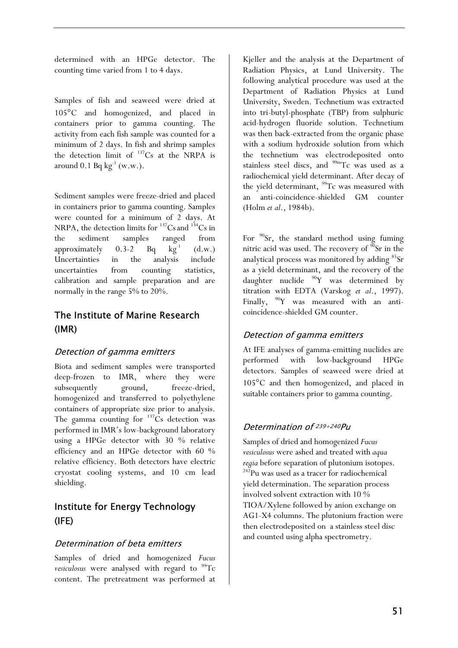determined with an HPGe detector. The counting time varied from 1 to 4 days.

Samples of fish and seaweed were dried at 105°C and homogenized, and placed in containers prior to gamma counting. The activity from each fish sample was counted for a minimum of 2 days. In fish and shrimp samples the detection limit of  $137Cs$  at the NRPA is around 0.1 Bq  $kg^{-1}$  (w.w.).

Sediment samples were freeze-dried and placed in containers prior to gamma counting. Samples were counted for a minimum of 2 days. At NRPA, the detection limits for  $^{137}Cs$  and  $^{134}Cs$  in the sediment samples ranged from approximately  $0.3-2$  Bq  $kg^{-1}$  (d.w.) Uncertainties in the analysis include uncertainties from counting statistics, calibration and sample preparation and are normally in the range 5% to 20%.

# The Institute of Marine Research (IMR)

### Detection of gamma emitters

Biota and sediment samples were transported deep-frozen to IMR, where they were subsequently ground, freeze-dried, homogenized and transferred to polyethylene containers of appropriate size prior to analysis. The gamma counting for  $137Cs$  detection was performed in IMR's low-background laboratory using a HPGe detector with 30 % relative efficiency and an HPGe detector with 60 % relative efficiency. Both detectors have electric cryostat cooling systems, and 10 cm lead shielding.

# Institute for Energy Technology (IFE)

### Determination of beta emitters

Samples of dried and homogenized *Fucus vesiculosus* were analysed with regard to <sup>99</sup>Tc content. The pretreatment was performed at Kjeller and the analysis at the Department of Radiation Physics, at Lund University. The following analytical procedure was used at the Department of Radiation Physics at Lund University, Sweden. Technetium was extracted into tri-butyl-phosphate (TBP) from sulphuric acid-hydrogen fluoride solution. Technetium was then back-extracted from the organic phase with a sodium hydroxide solution from which the technetium was electrodeposited onto stainless steel discs, and <sup>99m</sup>Tc was used as a radiochemical yield determinant. After decay of the yield determinant,  $^{99}$ Tc was measured with an anti-coincidence-shielded GM counter (Holm *et al*., 1984b).

For  $90$ Sr, the standard method using fuming nitric acid was used. The recovery of  $\rm{^{90}Sr}$  in the analytical process was monitored by adding <sup>85</sup>Sr as a yield determinant, and the recovery of the daughter nuclide  $90Y$  was determined by titration with EDTA (Varskog *et al*., 1997). Finally,  $90Y$  was measured with an anticoincidence-shielded GM counter.

### Detection of gamma emitters

At IFE analyses of gamma-emitting nuclides are performed with low-background HPGe detectors. Samples of seaweed were dried at 105°C and then homogenized, and placed in suitable containers prior to gamma counting.

### Determination of 239+240Pu

Samples of dried and homogenized *Fucus vesiculosus* were ashed and treated with *aqua regia* before separation of plutonium isotopes.<br><sup>242</sup>Pu was used as a tracer for radiochemical yield determination. The separation process involved solvent extraction with 10 % TIOA/Xylene followed by anion exchange on AG1-X4 columns. The plutonium fraction were then electrodeposited on a stainless steel disc and counted using alpha spectrometry.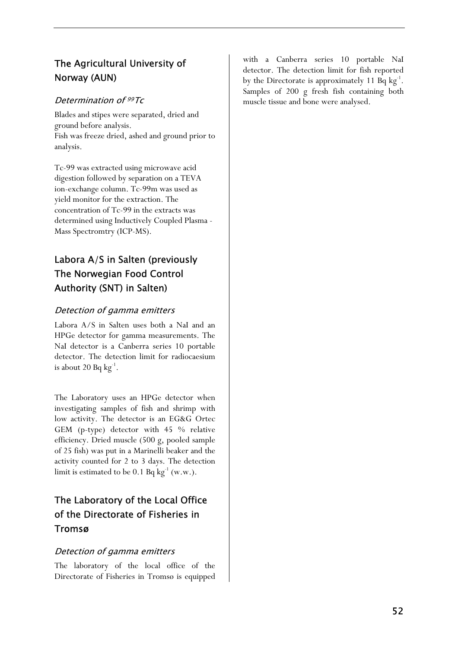# The Agricultural University of Norway (AUN)

### Determination of 99Tc

Blades and stipes were separated, dried and ground before analysis. Fish was freeze dried, ashed and ground prior to analysis.

Tc-99 was extracted using microwave acid digestion followed by separation on a TEVA ion-exchange column. Tc-99m was used as yield monitor for the extraction. The concentration of Tc-99 in the extracts was determined using Inductively Coupled Plasma - Mass Spectromtry (ICP-MS).

# Labora A/S in Salten (previously The Norwegian Food Control Authority (SNT) in Salten)

### Detection of gamma emitters

Labora A/S in Salten uses both a NaI and an HPGe detector for gamma measurements. The NaI detector is a Canberra series 10 portable detector. The detection limit for radiocaesium is about 20 Bq  $kg^{-1}$ .

The Laboratory uses an HPGe detector when investigating samples of fish and shrimp with low activity. The detector is an EG&G Ortec GEM (p-type) detector with 45 % relative efficiency. Dried muscle (500 g, pooled sample of 25 fish) was put in a Marinelli beaker and the activity counted for 2 to 3 days. The detection limit is estimated to be 0.1 Bq  $kg^{-1}$  (w.w.).

# The Laboratory of the Local Office of the Directorate of Fisheries in Tromsø

### Detection of gamma emitters

The laboratory of the local office of the Directorate of Fisheries in Tromsø is equipped

with a Canberra series 10 portable NaI detector. The detection limit for fish reported by the Directorate is approximately 11 Bq  $kg^{-1}$ . Samples of 200 g fresh fish containing both muscle tissue and bone were analysed.